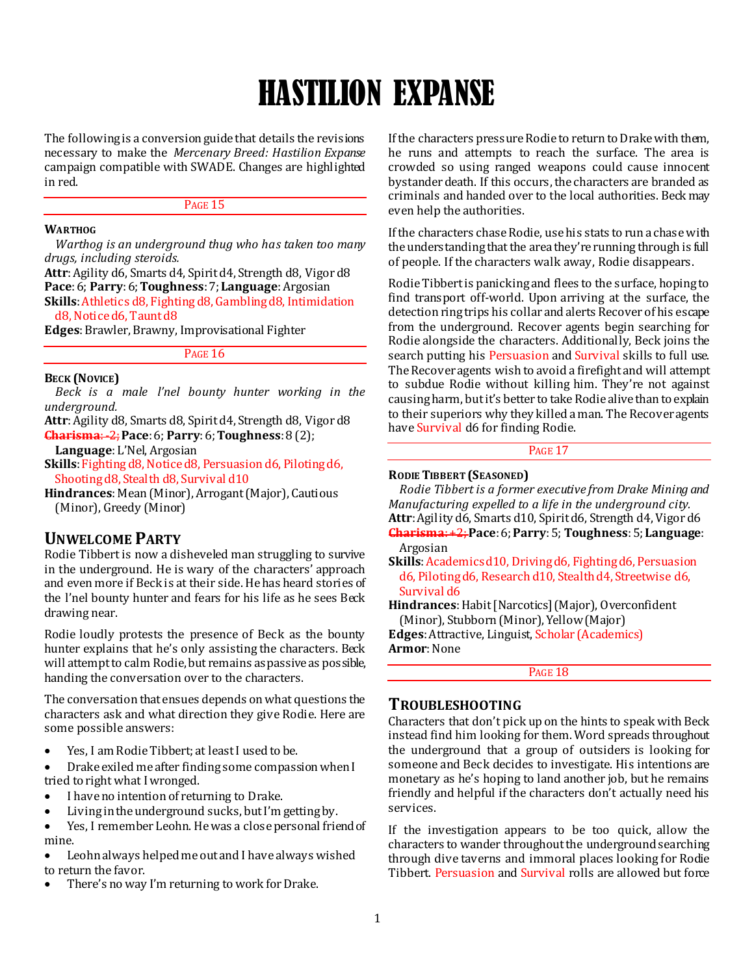# HASTILION EXPANSE

The following is a conversion guide that details the revisions necessary to make the *Mercenary Breed: Hastilion Expanse* campaign compatible with SWADE. Changes are highlighted in red.

## PAGE 15

#### **WARTHOG**

*Warthog is an underground thug who has taken too many drugs, including steroids.*

**Attr**: Agility d6, Smarts d4, Spirit d4, Strength d8, Vigor d8 **Pace**: 6; **Parry**: 6; **Toughness**: 7; **Language**: Argosian **Skills**: Athletics d8, Fighting d8, Gambling d8, Intimidation d8, Notice d6, Taunt d8

**Edges**: Brawler, Brawny, Improvisational Fighter

### PAGE 16

#### **BECK (NOVICE)**

*Beck is a male l'nel bounty hunter working in the underground.*

**Attr**: Agility d8, Smarts d8, Spirit d4, Strength d8, Vigor d8 **Charisma**: -2;**Pace**: 6; **Parry**: 6; **Toughness**: 8 (2);

**Language**: L'Nel, Argosian

**Skills**: Fighting d8, Notice d8, Persuasion d6, Piloting d6, Shooting d8, Stealth d8, Survival d10

**Hindrances**: Mean (Minor), Arrogant (Major), Cautious (Minor), Greedy (Minor)

## **UNWELCOME PARTY**

Rodie Tibbert is now a disheveled man struggling to survive in the underground. He is wary of the characters' approach and even more if Beck is at their side. He has heard stories of the l'nel bounty hunter and fears for his life as he sees Beck drawing near.

Rodie loudly protests the presence of Beck as the bounty hunter explains that he's only assisting the characters. Beck will attempt to calm Rodie, but remains as passive as possible, handing the conversation over to the characters.

The conversation that ensues depends on what questions the characters ask and what direction they give Rodie. Here are some possible answers:

Yes, I am Rodie Tibbert; at least I used to be.

 Drake exiled me after finding some compassion when I tried to right what I wronged.

- I have no intention of returning to Drake.
- Living in the underground sucks, but I'm getting by.
- Yes, I remember Leohn. He was a close personal friend of mine.
- Leohn always helped me out and I have always wished to return the favor.
- There's no way I'm returning to work for Drake.

If the characters pressure Rodie to return to Drake with them, he runs and attempts to reach the surface. The area is crowded so using ranged weapons could cause innocent bystander death. If this occurs, the characters are branded as criminals and handed over to the local authorities. Beck may even help the authorities.

If the characters chase Rodie, use his stats to run a chase with the understanding that the area they're running through is full of people. If the characters walk away, Rodie disappears.

Rodie Tibbert is panicking and flees to the surface, hoping to find transport off-world. Upon arriving at the surface, the detection ring trips his collar and alerts Recover of his escape from the underground. Recover agents begin searching for Rodie alongside the characters. Additionally, Beck joins the search putting his Persuasion and Survival skills to full use. The Recover agents wish to avoid a firefight and will attempt to subdue Rodie without killing him. They're not against causing harm, but it's better to take Rodie alive than to explain to their superiors why they killed a man. The Recover agents have Survival d6 for finding Rodie.

## PAGE 17

## **RODIE TIBBERT (SEASONED)**

*Rodie Tibbert is a former executive from Drake Mining and Manufacturing expelled to a life in the underground city.* **Attr**: Agility d6, Smarts d10, Spirit d6, Strength d4, Vigor d6 **Charisma**: +2; **Pace**: 6; **Parry**: 5; **Toughness**:5; **Language**:

Argosian

**Skills**: Academics d10, Driving d6, Fighting d6, Persuasion d6, Piloting d6, Research d10, Stealth d4, Streetwise d6, Survival d6

**Hindrances**: Habit [Narcotics] (Major), Overconfident (Minor), Stubborn (Minor), Yellow (Major)

**Edges**: Attractive, Linguist, Scholar (Academics) **Armor**: None

PAGE 18

## **TROUBLESHOOTING**

Characters that don't pick up on the hints to speak with Beck instead find him looking for them. Word spreads throughout the underground that a group of outsiders is looking for someone and Beck decides to investigate. His intentions are monetary as he's hoping to land another job, but he remains friendly and helpful if the characters don't actually need his services.

If the investigation appears to be too quick, allow the characters to wander throughout the underground searching through dive taverns and immoral places looking for Rodie Tibbert. Persuasion and Survival rolls are allowed but force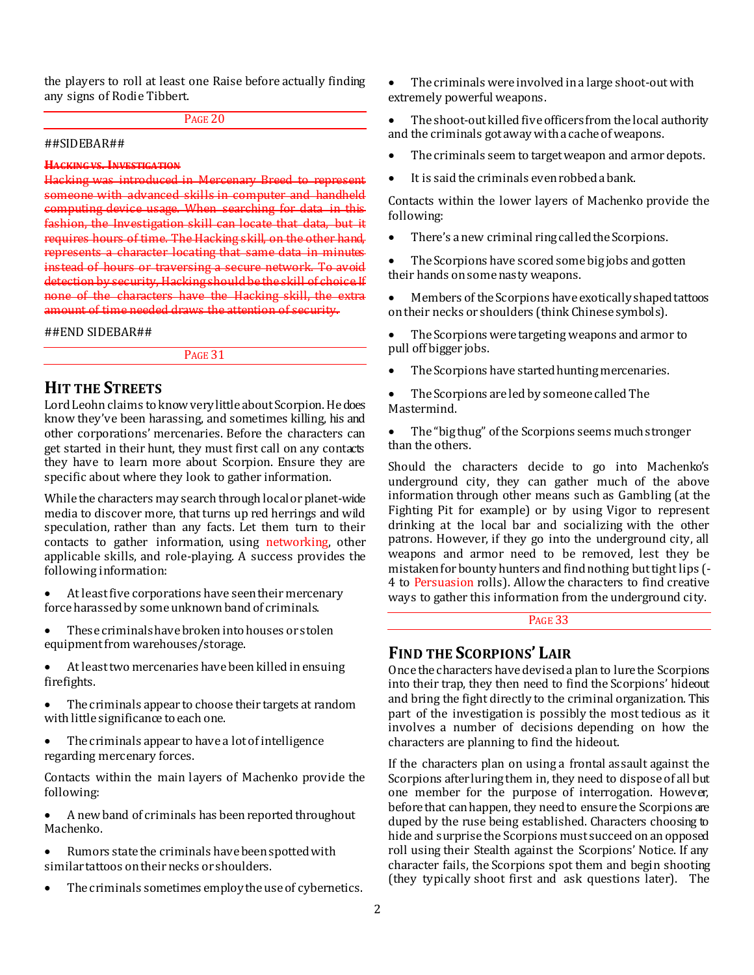the players to roll at least one Raise before actually finding any signs of Rodie Tibbert.

## PAGE 20

#### ##SIDEBAR##

## **HACKING VS. INVESTIGATION**

Hacking was introduced in someone with advanced skills in computer and handheld computing device usage. When searching for data in fashion, the Investigation skill can locate that data, but it requires hours of time. The Hacking skill, on the other hand, represents a character locating that same data in minutes instead of hours or traversing a secure network. To avoid detection by security, Hacking should be the skill of choice. If none of the characters have the Hacking skill, the extra amount of time needed draws the attention of security.

#### ##END SIDEBAR##

PAGE 31

## **HIT THE STREETS**

Lord Leohn claims to know very little about Scorpion. He does know they've been harassing, and sometimes killing, his and other corporations' mercenaries. Before the characters can get started in their hunt, they must first call on any contacts they have to learn more about Scorpion. Ensure they are specific about where they look to gather information.

While the characters may search through local or planet-wide media to discover more, that turns up red herrings and wild speculation, rather than any facts. Let them turn to their contacts to gather information, using networking, other applicable skills, and role-playing. A success provides the following information:

- At least five corporations have seen their mercenary force harassed by some unknown band of criminals.
- These criminals have broken into houses or stolen equipment from warehouses/storage.
- At least two mercenaries have been killed in ensuing firefights.
- The criminals appear to choose their targets at random with little significance to each one.
- The criminals appear to have a lot of intelligence regarding mercenary forces.

Contacts within the main layers of Machenko provide the following:

- A new band of criminals has been reported throughout Machenko.
- Rumors state the criminals have been spotted with similar tattoos on their necks or shoulders.
- The criminals sometimes employ the use of cybernetics.

 The criminals were involved in a large shoot-out with extremely powerful weapons.

 The shoot-out killed five officers from the local authority and the criminals got away with a cache of weapons.

- The criminals seem to target weapon and armor depots.
- It is said the criminals even robbed a bank.

Contacts within the lower layers of Machenko provide the following:

• There's a new criminal ring called the Scorpions.

 The Scorpions have scored some big jobs and gotten their hands on some nasty weapons.

 Members of the Scorpions have exotically shaped tattoos on their necks or shoulders (think Chinese symbols).

 The Scorpions were targeting weapons and armor to pull off bigger jobs.

- The Scorpions have started hunting mercenaries.
- The Scorpions are led by someone called The Mastermind.

 The "big thug" of the Scorpions seems much stronger than the others.

Should the characters decide to go into Machenko's underground city, they can gather much of the above information through other means such as Gambling (at the Fighting Pit for example) or by using Vigor to represent drinking at the local bar and socializing with the other patrons. However, if they go into the underground city, all weapons and armor need to be removed, lest they be mistaken for bounty hunters and find nothing but tight lips (- 4 to Persuasion rolls). Allow the characters to find creative ways to gather this information from the underground city.

## PAGE 33

## **FIND THE SCORPIONS' LAIR**

Once the characters have devised a plan to lure the Scorpions into their trap, they then need to find the Scorpions' hideout and bring the fight directly to the criminal organization. This part of the investigation is possibly the most tedious as it involves a number of decisions depending on how the characters are planning to find the hideout.

If the characters plan on using a frontal assault against the Scorpions after luring them in, they need to dispose of all but one member for the purpose of interrogation. However, before that can happen, they need to ensure the Scorpions are duped by the ruse being established. Characters choosing to hide and surprise the Scorpions must succeed on an opposed roll using their Stealth against the Scorpions' Notice. If any character fails, the Scorpions spot them and begin shooting (they typically shoot first and ask questions later). The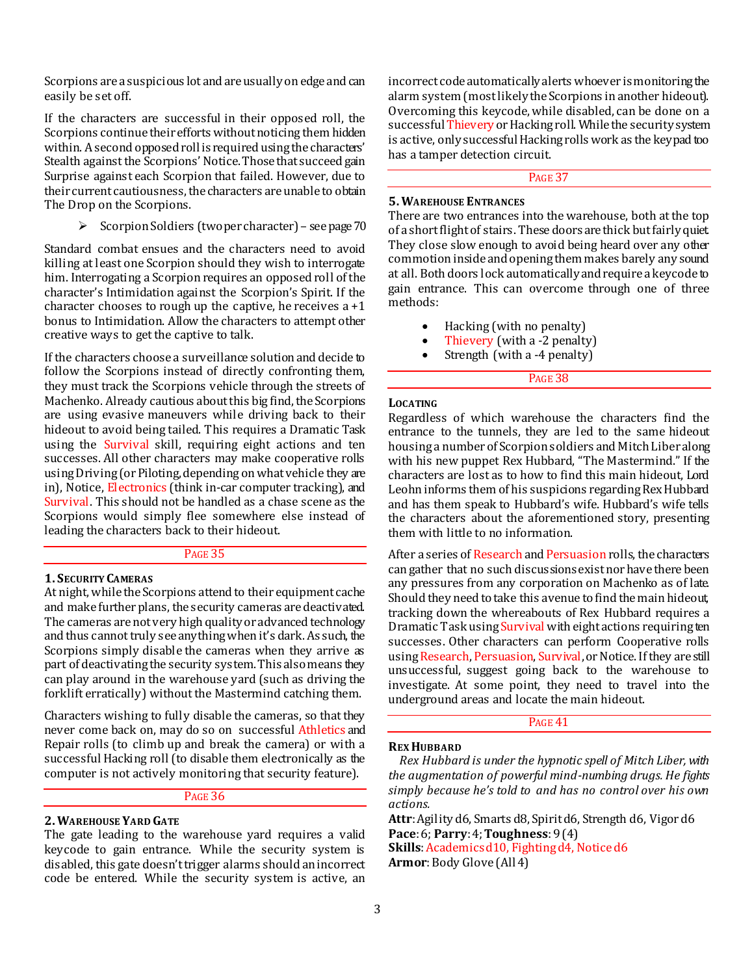Scorpions are a suspicious lot and are usually on edge and can easily be set off.

If the characters are successful in their opposed roll, the Scorpions continue their efforts without noticing them hidden within. A second opposed roll is required using the characters' Stealth against the Scorpions' Notice. Those that succeed gain Surprise against each Scorpion that failed. However, due to their current cautiousness, the characters are unable to obtain The Drop on the Scorpions.

 $\triangleright$  Scorpion Soldiers (two per character) – see page 70

Standard combat ensues and the characters need to avoid killing at least one Scorpion should they wish to interrogate him. Interrogating a Scorpion requires an opposed roll of the character's Intimidation against the Scorpion's Spirit. If the character chooses to rough up the captive, he receives  $a + 1$ bonus to Intimidation. Allow the characters to attempt other creative ways to get the captive to talk.

If the characters choose a surveillance solution and decide to follow the Scorpions instead of directly confronting them, they must track the Scorpions vehicle through the streets of Machenko. Already cautious about this big find, the Scorpions are using evasive maneuvers while driving back to their hideout to avoid being tailed. This requires a Dramatic Task using the Survival skill, requiring eight actions and ten successes. All other characters may make cooperative rolls using Driving (or Piloting, depending on what vehicle they are in), Notice, Electronics (think in-car computer tracking), and Survival. This should not be handled as a chase scene as the Scorpions would simply flee somewhere else instead of leading the characters back to their hideout.

#### PAGE 35

#### **1. SECURITY CAMERAS**

At night, while the Scorpions attend to their equipment cache and make further plans, the security cameras are deactivated. The cameras are not very high quality or advanced technology and thus cannot truly see anything when it's dark. As such, the Scorpions simply disable the cameras when they arrive as part of deactivating the security system. This also means they can play around in the warehouse yard (such as driving the forklift erratically) without the Mastermind catching them.

Characters wishing to fully disable the cameras, so that they never come back on, may do so on successful Athletics and Repair rolls (to climb up and break the camera) or with a successful Hacking roll (to disable them electronically as the computer is not actively monitoring that security feature).

#### PAGE 36

#### **2.WAREHOUSE YARD GATE**

The gate leading to the warehouse yard requires a valid keycode to gain entrance. While the security system is disabled, this gate doesn't trigger alarms should an incorrect code be entered. While the security system is active, an

incorrect code automatically alerts whoever is monitoring the alarm system (most likely the Scorpions in another hideout). Overcoming this keycode, while disabled, can be done on a successful Thievery or Hacking roll. While the security system is active, only successful Hacking rolls work as the keypad too has a tamper detection circuit.

## PAGE 37

#### **5.WAREHOUSE ENTRANCES**

There are two entrances into the warehouse, both at the top of a short flight of stairs. These doors are thick but fairly quiet. They close slow enough to avoid being heard over any other commotion inside and opening them makes barely any sound at all. Both doors lock automatically and require a keycode to gain entrance. This can overcome through one of three methods:

- Hacking (with no penalty)
- Thievery (with a -2 penalty)
- Strength (with a -4 penalty)

## PAGE 38

#### **LOCATING**

Regardless of which warehouse the characters find the entrance to the tunnels, they are led to the same hideout housing a number of Scorpion soldiers and Mitch Liber along with his new puppet Rex Hubbard, "The Mastermind." If the characters are lost as to how to find this main hideout, Lord Leohn informs them of his suspicions regarding Rex Hubbard and has them speak to Hubbard's wife. Hubbard's wife tells the characters about the aforementioned story, presenting them with little to no information.

After a series of Research and Persuasion rolls, the characters can gather that no such discussions exist nor have there been any pressures from any corporation on Machenko as of late. Should they need to take this avenue to find the main hideout, tracking down the whereabouts of Rex Hubbard requires a Dramatic Task using Survival with eight actions requiring ten successes. Other characters can perform Cooperative rolls using Research, Persuasion, Survival, or Notice. If they are still unsuccessful, suggest going back to the warehouse to investigate. At some point, they need to travel into the underground areas and locate the main hideout.

#### PAGE 41

#### **REX HUBBARD**

*Rex Hubbard is under the hypnotic spell of Mitch Liber, with the augmentation of powerful mind-numbing drugs. He fights simply because he's told to and has no control over his own actions.*

**Attr**: Agility d6, Smarts d8, Spirit d6, Strength d6, Vigor d6 **Pace**: 6; **Parry**: 4; **Toughness**: 9 (4)

**Skills**: Academics d10, Fighting d4, Notice d6 **Armor**: Body Glove (All 4)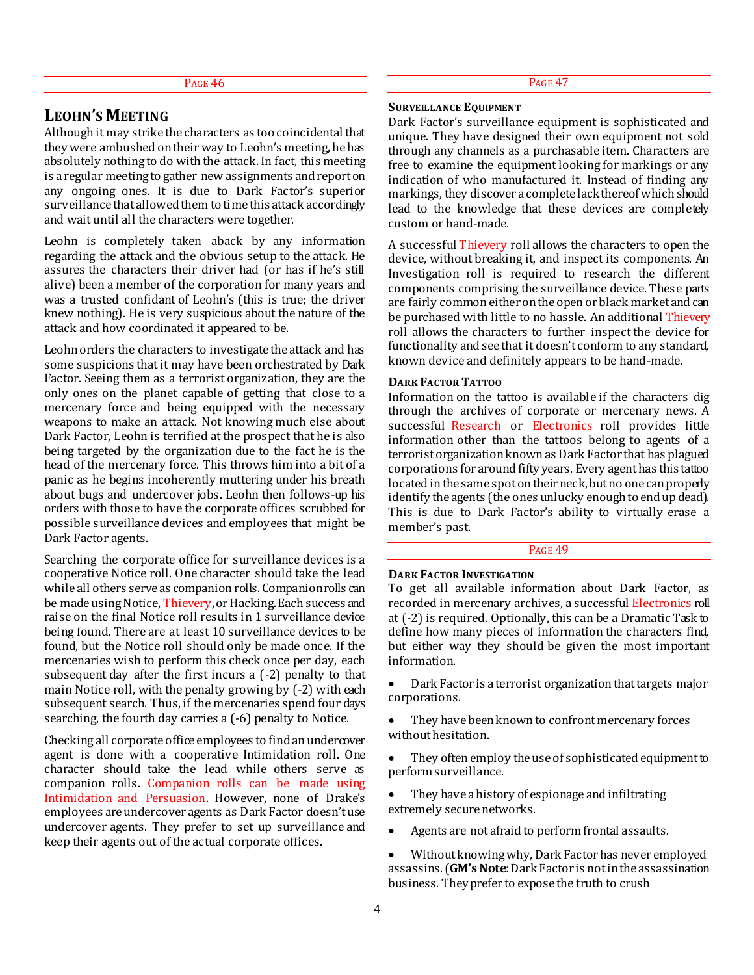## **LEOHN'S MEETING**

Although it may strike the characters as too coincidental that they were ambushed on their way to Leohn's meeting, he has absolutely nothing to do with the attack. In fact, this meeting is a regular meeting to gather new assignments and report on any ongoing ones. It is due to Dark Factor's superior surveillance that allowed them to time this attack accordingly and wait until all the characters were together.

Leohn is completely taken aback by any information regarding the attack and the obvious setup to the attack. He assures the characters their driver had (or has if he's still alive) been a member of the corporation for many years and was a trusted confidant of Leohn's (this is true; the driver knew nothing). He is very suspicious about the nature of the attack and how coordinated it appeared to be.

Leohn orders the characters to investigate the attack and has some suspicions that it may have been orchestrated by Dark Factor. Seeing them as a terrorist organization, they are the only ones on the planet capable of getting that close to a mercenary force and being equipped with the necessary weapons to make an attack. Not knowing much else about Dark Factor, Leohn is terrified at the prospect that he is also being targeted by the organization due to the fact he is the head of the mercenary force. This throws him into a bit of a panic as he begins incoherently muttering under his breath about bugs and undercover jobs. Leohn then follows-up his orders with those to have the corporate offices scrubbed for possible surveillance devices and employees that might be Dark Factor agents.

Searching the corporate office for surveillance devices is a cooperative Notice roll. One character should take the lead while all others serve as companion rolls. Companion rolls can be made using Notice, Thievery, or Hacking. Each success and raise on the final Notice roll results in 1 surveillance device being found. There are at least 10 surveillance devices to be found, but the Notice roll should only be made once. If the mercenaries wish to perform this check once per day, each subsequent day after the first incurs a (-2) penalty to that main Notice roll, with the penalty growing by (-2) with each subsequent search. Thus, if the mercenaries spend four days searching, the fourth day carries a (-6) penalty to Notice.

Checking all corporate office employees to find an undercover agent is done with a cooperative Intimidation roll. One character should take the lead while others serve as companion rolls. Companion rolls can be made using Intimidation and Persuasion. However, none of Drake's employees are undercover agents as Dark Factor doesn't use undercover agents. They prefer to set up surveillance and keep their agents out of the actual corporate offices.

PAGE 47

#### **SURVEILLANCE EQUIPMENT**

Dark Factor's surveillance equipment is sophisticated and unique. They have designed their own equipment not sold through any channels as a purchasable item. Characters are free to examine the equipment looking for markings or any indication of who manufactured it. Instead of finding any markings, they discover a complete lack thereof which should lead to the knowledge that these devices are completely custom or hand-made.

A successful Thievery roll allows the characters to open the device, without breaking it, and inspect its components. An Investigation roll is required to research the different components comprising the surveillance device. These parts are fairly common either on the open or black market and can be purchased with little to no hassle. An additional Thievery roll allows the characters to further inspect the device for functionality and see that it doesn't conform to any standard, known device and definitely appears to be hand-made.

#### **DARK FACTOR TATTOO**

Information on the tattoo is available if the characters dig through the archives of corporate or mercenary news. A successful Research or Electronics roll provides little information other than the tattoos belong to agents of a terrorist organization known as Dark Factor that has plagued corporations for around fifty years. Every agent has this tattoo located in the same spot on their neck, but no one can properly identify the agents (the ones unlucky enough to end up dead). This is due to Dark Factor's ability to virtually erase a member's past.

## PAGE<sub>49</sub>

#### **DARK FACTOR INVESTIGATION**

To get all available information about Dark Factor, as recorded in mercenary archives, a successful Electronics roll at (-2) is required. Optionally, this can be a Dramatic Task to define how many pieces of information the characters find, but either way they should be given the most important information.

- Dark Factor is a terrorist organization that targets major corporations.
- They have been known to confront mercenary forces without hesitation.
- They often employ the use of sophisticated equipment to perform surveillance.
- They have a history of espionage and infiltrating extremely secure networks.
- Agents are not afraid to perform frontal assaults.
- Without knowing why, Dark Factor has never employed assassins. (**GM's Note**: Dark Factor is not in the assassination business. They prefer to expose the truth to crush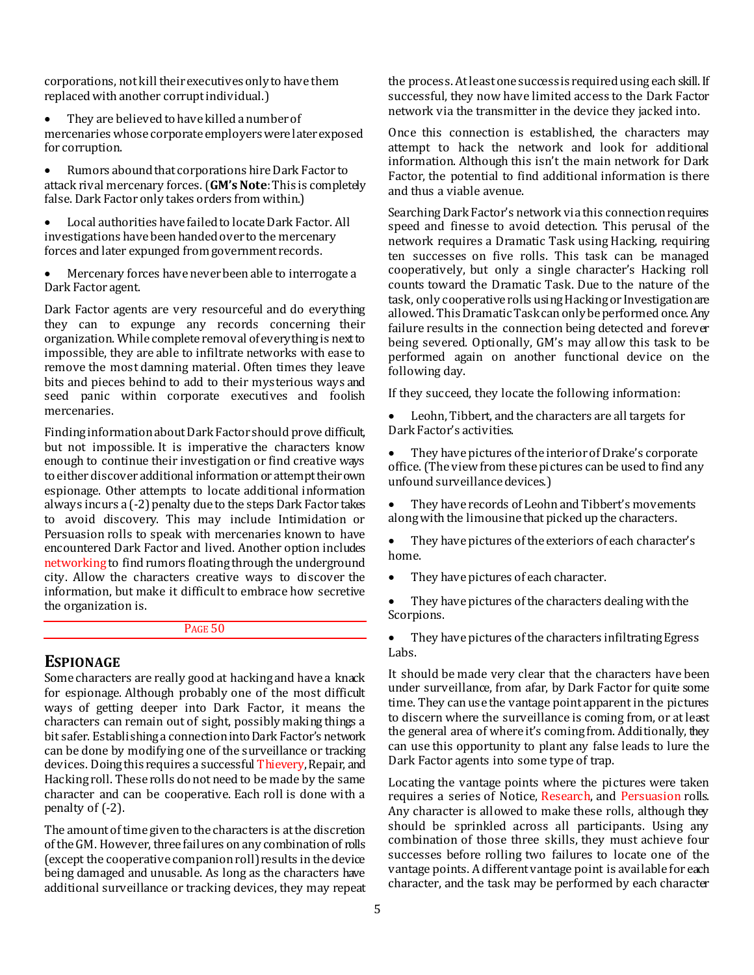corporations, not kill their executives only to have them replaced with another corrupt individual.)

- They are believed to have killed a number of mercenaries whose corporate employers were later exposed for corruption.
- Rumors abound that corporations hire Dark Factor to attack rival mercenary forces. (**GM's Note**: This is completely false. Dark Factor only takes orders from within.)

 Local authorities have failed to locate Dark Factor. All investigations have been handed over to the mercenary forces and later expunged from government records.

 Mercenary forces have never been able to interrogate a Dark Factor agent.

Dark Factor agents are very resourceful and do everything they can to expunge any records concerning their organization. While complete removal of everything is next to impossible, they are able to infiltrate networks with ease to remove the most damning material. Often times they leave bits and pieces behind to add to their mysterious ways and seed panic within corporate executives and foolish mercenaries.

Finding information about Dark Factor should prove difficult, but not impossible. It is imperative the characters know enough to continue their investigation or find creative ways to either discover additional information or attempt their own espionage. Other attempts to locate additional information always incurs a (-2) penalty due to the steps Dark Factor takes to avoid discovery. This may include Intimidation or Persuasion rolls to speak with mercenaries known to have encountered Dark Factor and lived. Another option includes networking to find rumors floating through the underground city. Allow the characters creative ways to discover the information, but make it difficult to embrace how secretive the organization is.

## PAGE 50

## **ESPIONAGE**

Some characters are really good at hacking and have a knack for espionage. Although probably one of the most difficult ways of getting deeper into Dark Factor, it means the characters can remain out of sight, possibly making things a bit safer. Establishing a connection into Dark Factor's network can be done by modifying one of the surveillance or tracking devices. Doing this requires a successful Thievery, Repair, and Hacking roll. These rolls do not need to be made by the same character and can be cooperative. Each roll is done with a penalty of (-2).

The amount of time given to the characters is at the discretion of the GM. However, three failures on any combination of rolls (except the cooperative companion roll) results in the device being damaged and unusable. As long as the characters have additional surveillance or tracking devices, they may repeat the process. At least one success is required using each skill. If successful, they now have limited access to the Dark Factor network via the transmitter in the device they jacked into.

Once this connection is established, the characters may attempt to hack the network and look for additional information. Although this isn't the main network for Dark Factor, the potential to find additional information is there and thus a viable avenue.

Searching Dark Factor's network via this connection requires speed and finesse to avoid detection. This perusal of the network requires a Dramatic Task using Hacking, requiring ten successes on five rolls. This task can be managed cooperatively, but only a single character's Hacking roll counts toward the Dramatic Task. Due to the nature of the task, only cooperative rolls using Hacking or Investigation are allowed. This Dramatic Task can only be performed once. Any failure results in the connection being detected and forever being severed. Optionally, GM's may allow this task to be performed again on another functional device on the following day.

If they succeed, they locate the following information:

 Leohn, Tibbert, and the characters are all targets for Dark Factor's activities.

 They have pictures of the interior of Drake's corporate office. (The view from these pictures can be used to find any unfound surveillance devices.)

- They have records of Leohn and Tibbert's movements along with the limousine that picked up the characters.
- They have pictures of the exteriors of each character's home.
- They have pictures of each character.
- They have pictures of the characters dealing with the Scorpions.

• They have pictures of the characters infiltrating Egress Labs.

It should be made very clear that the characters have been under surveillance, from afar, by Dark Factor for quite some time. They can use the vantage point apparent in the pictures to discern where the surveillance is coming from, or at least the general area of where it's coming from. Additionally, they can use this opportunity to plant any false leads to lure the Dark Factor agents into some type of trap.

Locating the vantage points where the pictures were taken requires a series of Notice, Research, and Persuasion rolls. Any character is allowed to make these rolls, although they should be sprinkled across all participants. Using any combination of those three skills, they must achieve four successes before rolling two failures to locate one of the vantage points. A different vantage point is available for each character, and the task may be performed by each character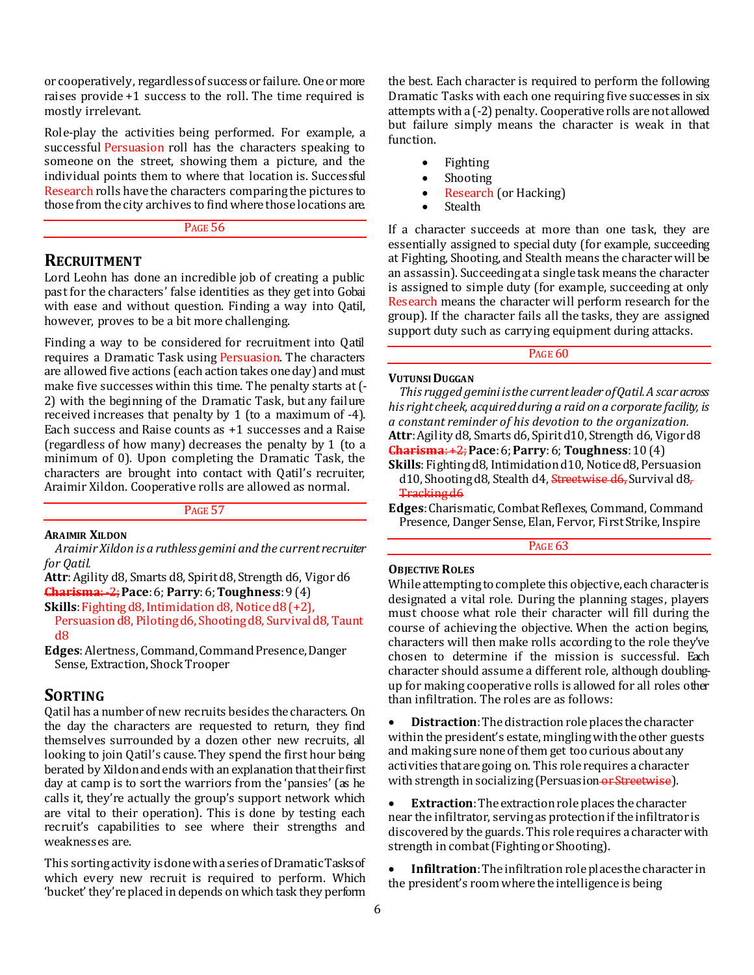or cooperatively, regardless of success or failure. One or more raises provide +1 success to the roll. The time required is mostly irrelevant.

Role-play the activities being performed. For example, a successful Persuasion roll has the characters speaking to someone on the street, showing them a picture, and the individual points them to where that location is. Successful Research rolls have the characters comparing the pictures to those from the city archives to find where those locations are.

#### PAGE 56

## **RECRUITMENT**

Lord Leohn has done an incredible job of creating a public past for the characters' false identities as they get into Gobai with ease and without question. Finding a way into Qatil, however, proves to be a bit more challenging.

Finding a way to be considered for recruitment into Qatil requires a Dramatic Task using Persuasion. The characters are allowed five actions (each action takes one day) and must make five successes within this time. The penalty starts at (- 2) with the beginning of the Dramatic Task, but any failure received increases that penalty by 1 (to a maximum of -4). Each success and Raise counts as +1 successes and a Raise (regardless of how many) decreases the penalty by 1 (to a minimum of 0). Upon completing the Dramatic Task, the characters are brought into contact with Qatil's recruiter, Araimir Xildon. Cooperative rolls are allowed as normal.

PAGE 57

## **ARAIMIR XILDON**

*Araimir Xildon is a ruthless gemini and the current recruiter for Qatil.*

**Attr**: Agility d8, Smarts d8, Spirit d8, Strength d6, Vigor d6 **Charisma**: -2;**Pace**: 6; **Parry**: 6; **Toughness**: 9 (4)

**Skills**: Fighting d8, Intimidation d8, Notice d8 (+2),

Persuasion d8, Piloting d6, Shooting d8, Survival d8, Taunt d8

**Edges**: Alertness, Command, Command Presence, Danger Sense, Extraction, Shock Trooper

## **SORTING**

Qatil has a number of new recruits besides the characters. On the day the characters are requested to return, they find themselves surrounded by a dozen other new recruits, all looking to join Qatil's cause. They spend the first hour being berated by Xildon and ends with an explanation that their first day at camp is to sort the warriors from the 'pansies' (as he calls it, they're actually the group's support network which are vital to their operation). This is done by testing each recruit's capabilities to see where their strengths and weaknesses are.

This sorting activity is done with a series of Dramatic Tasks of which every new recruit is required to perform. Which 'bucket' they're placed in depends on which task they perform

the best. Each character is required to perform the following Dramatic Tasks with each one requiring five successes in six attempts with a (-2) penalty. Cooperative rolls are not allowed but failure simply means the character is weak in that function.

- Fighting
- Shooting
- Research (or Hacking)
- **Stealth**

If a character succeeds at more than one task, they are essentially assigned to special duty (for example, succeeding at Fighting, Shooting, and Stealth means the character will be an assassin). Succeeding at a single task means the character is assigned to simple duty (for example, succeeding at only Research means the character will perform research for the group). If the character fails all the tasks, they are assigned support duty such as carrying equipment during attacks.

## PAGE 60

#### **VUTUNSI DUGGAN**

*This rugged gemini is the current leader of Qatil. A scar across his right cheek, acquired during a raid on a corporate facility, is a constant reminder of his devotion to the organization.* **Attr**: Agility d8, Smarts d6, Spirit d10, Strength d6, Vigor d8 **Charisma**: +2;**Pace**: 6; **Parry**: 6; **Toughness**: 10 (4)

**Skills**: Fighting d8, Intimidation d10, Notice d8, Persuasion d10, Shooting d8, Stealth d4, Streetwise d6, Survival d8, Tracking d6

**Edges**: Charismatic, Combat Reflexes, Command, Command Presence, Danger Sense, Elan, Fervor, First Strike, Inspire

PAGE<sub>63</sub>

## **OBJECTIVE ROLES**

While attempting to complete this objective, each character is designated a vital role. During the planning stages, players must choose what role their character will fill during the course of achieving the objective. When the action begins, characters will then make rolls according to the role they've chosen to determine if the mission is successful. Each character should assume a different role, although doublingup for making cooperative rolls is allowed for all roles other than infiltration. The roles are as follows:

 **Distraction**: The distraction role places the character within the president's estate, mingling with the other guests and making sure none of them get too curious about any activities that are going on. This role requires a character with strength in socializing (Persuasion or Streetwise).

 **Extraction**: The extraction role places the character near the infiltrator, serving as protection if the infiltrator is discovered by the guards. This role requires a character with strength in combat (Fighting or Shooting).

 **Infiltration**: The infiltration role places the character in the president's room where the intelligence is being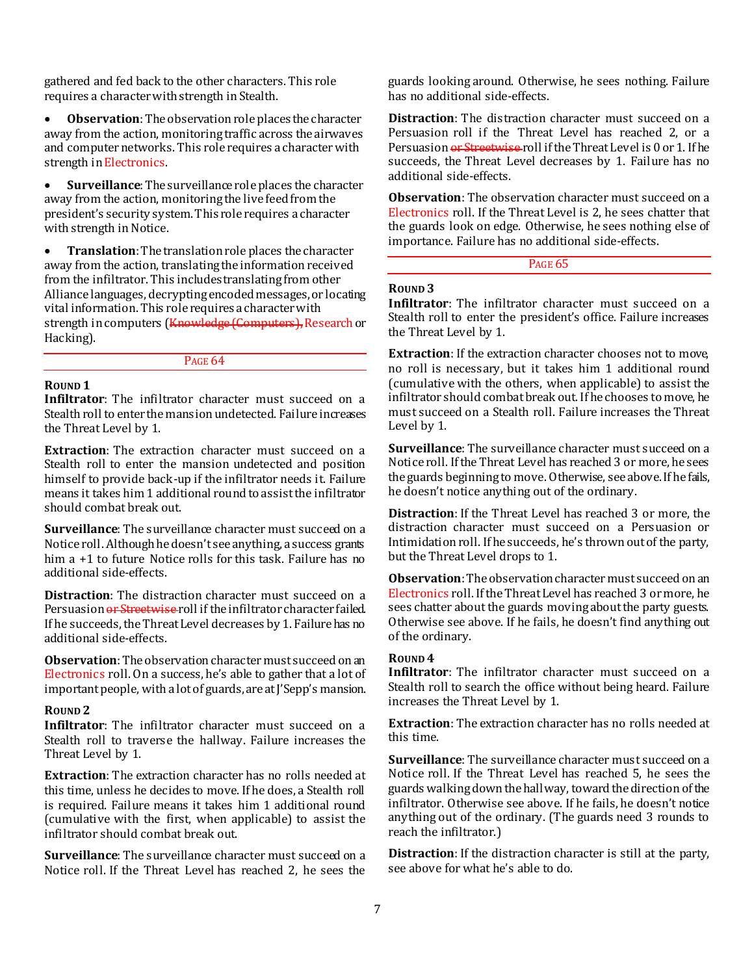gathered and fed back to the other characters. This role requires a character with strength in Stealth.

 **Observation**: The observation role places the character away from the action, monitoring traffic across the airwaves and computer networks. This role requires a character with strength in Electronics.

 **Surveillance**: The surveillance role places the character away from the action, monitoring the live feed from the president's security system. This role requires a character with strength in Notice.

 **Translation**: The translation role places the character away from the action, translating the information received from the infiltrator. This includes translating from other Alliance languages, decrypting encoded messages, or locating vital information. This role requires a character with strength in computers (Knowledge (Computers), Research or Hacking).

#### PAGE 64

## **ROUND 1**

**Infiltrator**: The infiltrator character must succeed on a Stealth roll to enter the mansion undetected. Failure increases the Threat Level by 1.

**Extraction**: The extraction character must succeed on a Stealth roll to enter the mansion undetected and position himself to provide back-up if the infiltrator needs it. Failure means it takes him 1 additional round to assist the infiltrator should combat break out.

**Surveillance**: The surveillance character must succeed on a Notice roll. Although he doesn't see anything, a success grants him a  $+1$  to future Notice rolls for this task. Failure has no additional side-effects.

**Distraction**: The distraction character must succeed on a Persuasion or Streetwise roll if the infiltrator character failed. If he succeeds, the Threat Level decreases by 1. Failure has no additional side-effects.

**Observation**: The observation character must succeed on an Electronics roll. On a success, he's able to gather that a lot of important people, with a lot of guards, are at J'Sepp's mansion.

#### **ROUND 2**

**Infiltrator**: The infiltrator character must succeed on a Stealth roll to traverse the hallway. Failure increases the Threat Level by 1.

**Extraction**: The extraction character has no rolls needed at this time, unless he decides to move. If he does, a Stealth roll is required. Failure means it takes him 1 additional round (cumulative with the first, when applicable) to assist the infiltrator should combat break out.

**Surveillance**: The surveillance character must succeed on a Notice roll. If the Threat Level has reached 2, he sees the guards looking around. Otherwise, he sees nothing. Failure has no additional side-effects.

**Distraction**: The distraction character must succeed on a Persuasion roll if the Threat Level has reached 2, or a Persuasion or Streetwise roll if the Threat Level is 0 or 1. If he succeeds, the Threat Level decreases by 1. Failure has no additional side-effects.

**Observation**: The observation character must succeed on a Electronics roll. If the Threat Level is 2, he sees chatter that the guards look on edge. Otherwise, he sees nothing else of importance. Failure has no additional side-effects.

#### PAGE<sub>65</sub>

#### **ROUND 3**

**Infiltrator**: The infiltrator character must succeed on a Stealth roll to enter the president's office. Failure increases the Threat Level by 1.

**Extraction**: If the extraction character chooses not to move, no roll is necessary, but it takes him 1 additional round (cumulative with the others, when applicable) to assist the infiltrator should combat break out. If he chooses to move, he must succeed on a Stealth roll. Failure increases the Threat Level by 1.

**Surveillance**: The surveillance character must succeed on a Notice roll. If the Threat Level has reached 3 or more, he sees the guards beginning to move. Otherwise, see above. If he fails, he doesn't notice anything out of the ordinary.

**Distraction**: If the Threat Level has reached 3 or more, the distraction character must succeed on a Persuasion or Intimidation roll. If he succeeds, he's thrown out of the party, but the Threat Level drops to 1.

**Observation**: The observation character must succeed on an Electronics roll. If the Threat Level has reached 3 or more, he sees chatter about the guards moving about the party guests. Otherwise see above. If he fails, he doesn't find anything out of the ordinary.

## **ROUND 4**

**Infiltrator**: The infiltrator character must succeed on a Stealth roll to search the office without being heard. Failure increases the Threat Level by 1.

**Extraction**: The extraction character has no rolls needed at this time.

**Surveillance**: The surveillance character must succeed on a Notice roll. If the Threat Level has reached 5, he sees the guards walking down the hallway, toward the direction of the infiltrator. Otherwise see above. If he fails, he doesn't notice anything out of the ordinary. (The guards need 3 rounds to reach the infiltrator.)

**Distraction**: If the distraction character is still at the party, see above for what he's able to do.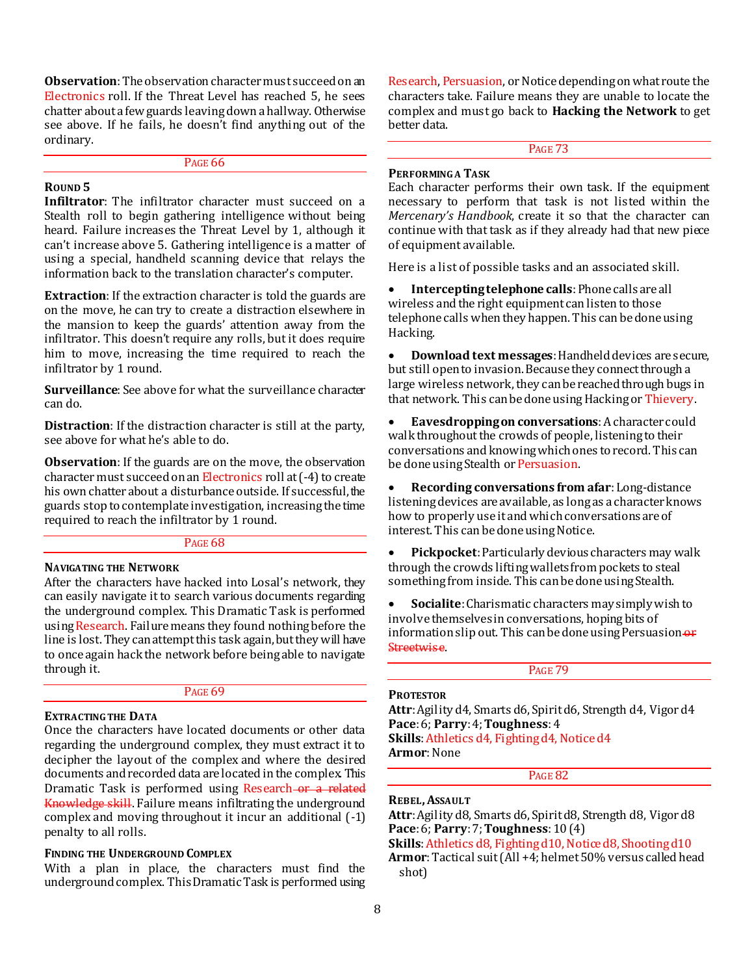**Observation**: The observation character must succeed on an Electronics roll. If the Threat Level has reached 5, he sees chatter about a few guards leaving down a hallway. Otherwise see above. If he fails, he doesn't find anything out of the ordinary.

|--|

## **ROUND 5**

**Infiltrator**: The infiltrator character must succeed on a Stealth roll to begin gathering intelligence without being heard. Failure increases the Threat Level by 1, although it can't increase above 5. Gathering intelligence is a matter of using a special, handheld scanning device that relays the information back to the translation character's computer.

**Extraction**: If the extraction character is told the guards are on the move, he can try to create a distraction elsewhere in the mansion to keep the guards' attention away from the infiltrator. This doesn't require any rolls, but it does require him to move, increasing the time required to reach the infiltrator by 1 round.

**Surveillance**: See above for what the surveillance character can do.

**Distraction**: If the distraction character is still at the party, see above for what he's able to do.

**Observation**: If the guards are on the move, the observation character must succeed on an Electronics roll at (-4) to create his own chatter about a disturbance outside. If successful, the guards stop to contemplate investigation, increasing the time required to reach the infiltrator by 1 round.

#### PAGE<sub>68</sub>

## **NAVIGATING THE NETWORK**

After the characters have hacked into Losal's network, they can easily navigate it to search various documents regarding the underground complex. This Dramatic Task is performed using Research. Failure means they found nothing before the line is lost. They can attempt this task again, but they will have to once again hack the network before being able to navigate through it.

#### PAGE 69

## **EXTRACTING THE DATA**

Once the characters have located documents or other data regarding the underground complex, they must extract it to decipher the layout of the complex and where the desired documents and recorded data are located in the complex. This Dramatic Task is performed using Research or a related Knowledge skill. Failure means infiltrating the underground complex and moving throughout it incur an additional (-1) penalty to all rolls.

## **FINDING THE UNDERGROUND COMPLEX**

With a plan in place, the characters must find the underground complex. This Dramatic Task is performed using Research, Persuasion, or Notice depending on what route the characters take. Failure means they are unable to locate the complex and must go back to **Hacking the Network** to get better data.

## PAGE 73

#### **PERFORMING A TASK**

Each character performs their own task. If the equipment necessary to perform that task is not listed within the *Mercenary's Handbook*, create it so that the character can continue with that task as if they already had that new piece of equipment available.

Here is a list of possible tasks and an associated skill.

 **Intercepting telephone calls**: Phone calls are all wireless and the right equipment can listen to those telephone calls when they happen. This can be done using Hacking.

**Download text messages:** Handheld devices are secure, but still open to invasion. Because they connect through a large wireless network, they can be reached through bugs in that network. This can be done using Hacking or Thievery.

 **Eavesdropping on conversations**:A character could walk throughout the crowds of people, listening to their conversations and knowing which ones to record. This can be done using Stealth or Persuasion.

 **Recording conversations from afar**:Long-distance listening devices are available, as long as a character knows how to properly use it and which conversations are of interest. This can be done using Notice.

 **Pickpocket**:Particularly devious characters may walk through the crowds lifting wallets from pockets to steal something from inside. This can be done using Stealth.

 **Socialite**:Charismatic characters may simply wish to involve themselves in conversations, hoping bits of information slip out. This can be done using Persuasion-or Streetwise.

PAGE 79

#### **PROTESTOR**

**Attr**: Agility d4, Smarts d6, Spirit d6, Strength d4, Vigor d4 **Pace**: 6; **Parry**: 4; **Toughness**: 4 **Skills**:Athletics d4, Fighting d4, Notice d4 **Armor**: None

PAGE 82

**REBEL,ASSAULT**

**Attr**: Agility d8, Smarts d6, Spirit d8, Strength d8, Vigor d8 **Pace**: 6; **Parry**: 7; **Toughness**: 10 (4)

**Skills**: Athletics d8, Fighting d10, Notice d8, Shooting d10 **Armor**:Tactical suit (All +4; helmet 50% versus called head shot)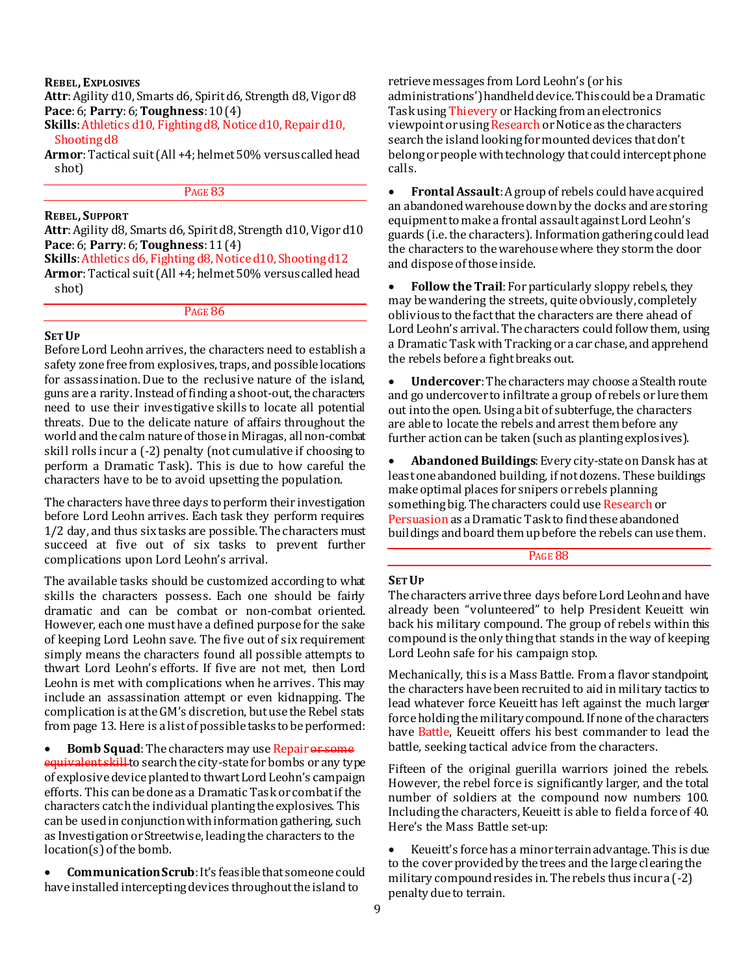**REBEL, EXPLOSIVES**

**Attr**: Agility d10, Smarts d6, Spirit d6, Strength d8, Vigor d8 **Pace**: 6; **Parry**: 6; **Toughness**: 10 (4)

Skills: Athletics d10, Fighting d8, Notice d10, Repair d10, Shooting d8

**Armor**:Tactical suit (All +4; helmet 50% versus called head shot)

PAGE 83

## **REBEL, SUPPORT**

**Attr**:Agility d8, Smarts d6, Spirit d8, Strength d10, Vigor d10 **Pace**: 6; **Parry**: 6; **Toughness**: 11 (4)

**Skills**: Athletics d6, Fighting d8, Notice d10, Shooting d12

**Armor**:Tactical suit (All +4; helmet 50% versus called head shot)

PAGE 86

## **SET UP**

Before Lord Leohn arrives, the characters need to establish a safety zone free from explosives, traps, and possible locations for assassination. Due to the reclusive nature of the island, guns are a rarity. Instead of finding a shoot-out, the characters need to use their investigative skills to locate all potential threats. Due to the delicate nature of affairs throughout the world and the calm nature of those in Miragas, all non-combat skill rolls incur a (-2) penalty (not cumulative if choosing to perform a Dramatic Task). This is due to how careful the characters have to be to avoid upsetting the population.

The characters have three days to perform their investigation before Lord Leohn arrives. Each task they perform requires 1/2 day, and thus six tasks are possible. The characters must succeed at five out of six tasks to prevent further complications upon Lord Leohn's arrival.

The available tasks should be customized according to what skills the characters possess. Each one should be fairly dramatic and can be combat or non-combat oriented. However, each one must have a defined purpose for the sake of keeping Lord Leohn save. The five out of six requirement simply means the characters found all possible attempts to thwart Lord Leohn's efforts. If five are not met, then Lord Leohn is met with complications when he arrives. This may include an assassination attempt or even kidnapping. The complication is at the GM's discretion, but use the Rebel stats from page 13. Here is a list of possible tasks to be performed:

**Bomb Squad**: The characters may use Repair or some equivalent skill to search the city-state for bombs or any type of explosive device planted to thwart Lord Leohn's campaign efforts. This can be done as a Dramatic Task or combat if the characters catch the individual planting the explosives. This can be used in conjunction with information gathering, such as Investigation or Streetwise, leading the characters to the location(s) of the bomb.

 **Communication Scrub**: It's feasible that someone could have installed intercepting devices throughout the island to

retrieve messages from Lord Leohn's (or his administrations') handheld device. This could be a Dramatic Task using Thievery or Hacking from an electronics viewpoint or using Research or Notice as the characters search the island looking for mounted devices that don't belong or people with technology that could intercept phone calls.

 **Frontal Assault**:A group of rebels could have acquired an abandoned warehouse down by the docks and are storing equipment to make a frontal assault against Lord Leohn's guards (i.e. the characters). Information gathering could lead the characters to the warehouse where they storm the door and dispose of those inside.

**Follow the Trail:** For particularly sloppy rebels, they may be wandering the streets, quite obviously, completely oblivious to the fact that the characters are there ahead of Lord Leohn's arrival. The characters could follow them, using a Dramatic Task with Tracking or a car chase, and apprehend the rebels before a fight breaks out.

 **Undercover**:The characters may choose a Stealth route and go undercover to infiltrate a group of rebels or lure them out into the open. Using a bit of subterfuge, the characters are able to locate the rebels and arrest them before any further action can be taken (such as planting explosives).

 **Abandoned Buildings**:Every city-state on Dansk has at least one abandoned building, if not dozens. These buildings make optimal places for snipers or rebels planning something big. The characters could use Research or Persuasion as a Dramatic Task to find these abandoned buildings and board them up before the rebels can use them.

PAGE 88

## **SET UP**

The characters arrive three days before Lord Leohn and have already been "volunteered" to help President Keueitt win back his military compound. The group of rebels within this compound is the only thing that stands in the way of keeping Lord Leohn safe for his campaign stop.

Mechanically, this is a Mass Battle. From a flavor standpoint, the characters have been recruited to aid in military tactics to lead whatever force Keueitt has left against the much larger force holding the military compound. If none of the characters have Battle, Keueitt offers his best commander to lead the battle, seeking tactical advice from the characters.

Fifteen of the original guerilla warriors joined the rebels. However, the rebel force is significantly larger, and the total number of soldiers at the compound now numbers 100. Including the characters, Keueitt is able to field a force of 40. Here's the Mass Battle set-up:

 Keueitt's force has a minor terrain advantage. This is due to the cover provided by the trees and the large clearing the military compound resides in. The rebels thus incur a (-2) penalty due to terrain.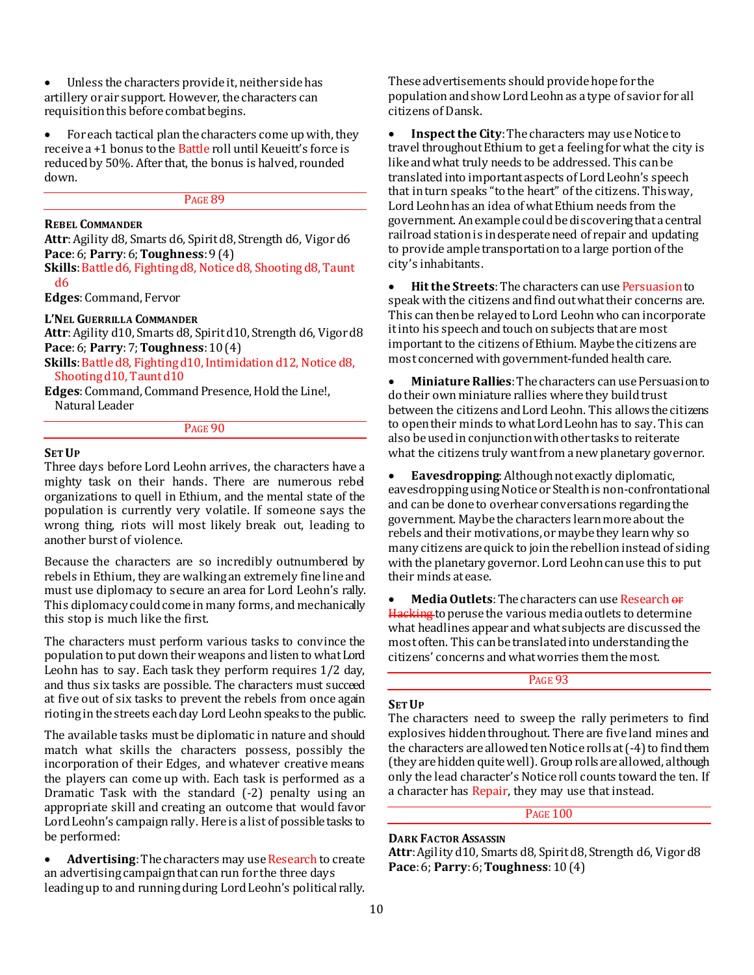Unless the characters provide it, neither side has artillery or air support. However, the characters can requisition this before combat begins.

 For each tactical plan the characters come up with, they receive a +1 bonus to the Battle roll until Keueitt's force is reduced by 50%. After that, the bonus is halved, rounded down.

#### PAGE 89

## **REBEL COMMANDER**

**Attr**: Agility d8, Smarts d6, Spirit d8, Strength d6, Vigor d6 **Pace**: 6; **Parry**: 6; **Toughness**: 9 (4)

Skills: Battle d6, Fighting d8, Notice d8, Shooting d8, Taunt d6

**Edges**:Command, Fervor

## **L'NEL GUERRILLA COMMANDER**

**Attr**: Agility d10, Smarts d8, Spirit d10, Strength d6, Vigor d8 **Pace**: 6; **Parry**: 7; **Toughness**: 10 (4)

Skills: Battle d8, Fighting d10, Intimidation d12, Notice d8, Shooting d10, Taunt d10

**Edges**:Command, Command Presence, Hold the Line!, Natural Leader

### PAGE 90

#### **SET UP**

Three days before Lord Leohn arrives, the characters have a mighty task on their hands. There are numerous rebel organizations to quell in Ethium, and the mental state of the population is currently very volatile. If someone says the wrong thing, riots will most likely break out, leading to another burst of violence.

Because the characters are so incredibly outnumbered by rebels in Ethium, they are walking an extremely fine line and must use diplomacy to secure an area for Lord Leohn's rally. This diplomacy could come in many forms, and mechanically this stop is much like the first.

The characters must perform various tasks to convince the population to put down their weapons and listen to what Lord Leohn has to say. Each task they perform requires 1/2 day, and thus six tasks are possible. The characters must succeed at five out of six tasks to prevent the rebels from once again rioting in the streets each day Lord Leohn speaks to the public.

The available tasks must be diplomatic in nature and should match what skills the characters possess, possibly the incorporation of their Edges, and whatever creative means the players can come up with. Each task is performed as a Dramatic Task with the standard (-2) penalty using an appropriate skill and creating an outcome that would favor Lord Leohn's campaign rally. Here is a list of possible tasks to be performed:

**Advertising**: The characters may use **Research** to create an advertising campaign that can run for the three days leading up to and running during Lord Leohn's political rally.

These advertisements should provide hope for the population and show Lord Leohn as a type of savior for all citizens of Dansk.

 **Inspect the City**: The characters may use Notice to travel throughout Ethium to get a feeling for what the city is like and what truly needs to be addressed. This can be translated into important aspects of Lord Leohn's speech that in turn speaks "to the heart" of the citizens. This way, Lord Leohn has an idea of what Ethium needs from the government. An example could be discovering that a central railroad station is in desperate need of repair and updating to provide ample transportation to a large portion of the city's inhabitants.

 **Hit the Streets**: The characters can use Persuasion to speak with the citizens and find out what their concerns are. This can then be relayed to Lord Leohn who can incorporate it into his speech and touch on subjects that are most important to the citizens of Ethium. Maybe the citizens are most concerned with government-funded health care.

 **Miniature Rallies**:The characters can use Persuasion to do their own miniature rallies where they build trust between the citizens and Lord Leohn. This allows the citizens to open their minds to what Lord Leohn has to say. This can also be used in conjunction with other tasks to reiterate what the citizens truly want from a new planetary governor.

 **Eavesdropping**:Although not exactly diplomatic, eavesdropping using Notice or Stealth is non-confrontational and can be done to overhear conversations regarding the government. Maybe the characters learn more about the rebels and their motivations, or maybe they learn why so many citizens are quick to join the rebellion instead of siding with the planetary governor. Lord Leohn can use this to put their minds at ease.

 **Media Outlets**:The characters can use Research or Hacking to peruse the various media outlets to determine what headlines appear and what subjects are discussed the most often. This can be translated into understanding the citizens' concerns and what worries them the most.

PAGE 93

#### **SET UP**

The characters need to sweep the rally perimeters to find explosives hidden throughout. There are five land mines and the characters are allowed ten Notice rolls at (-4) to find them (they are hidden quite well). Group rolls are allowed, although only the lead character's Notice roll counts toward the ten. If a character has Repair, they may use that instead.

## PAGE 100

**DARK FACTOR ASSASSIN Attr**: Agility d10, Smarts d8, Spirit d8, Strength d6, Vigor d8 **Pace**: 6; **Parry**: 6; **Toughness**: 10 (4)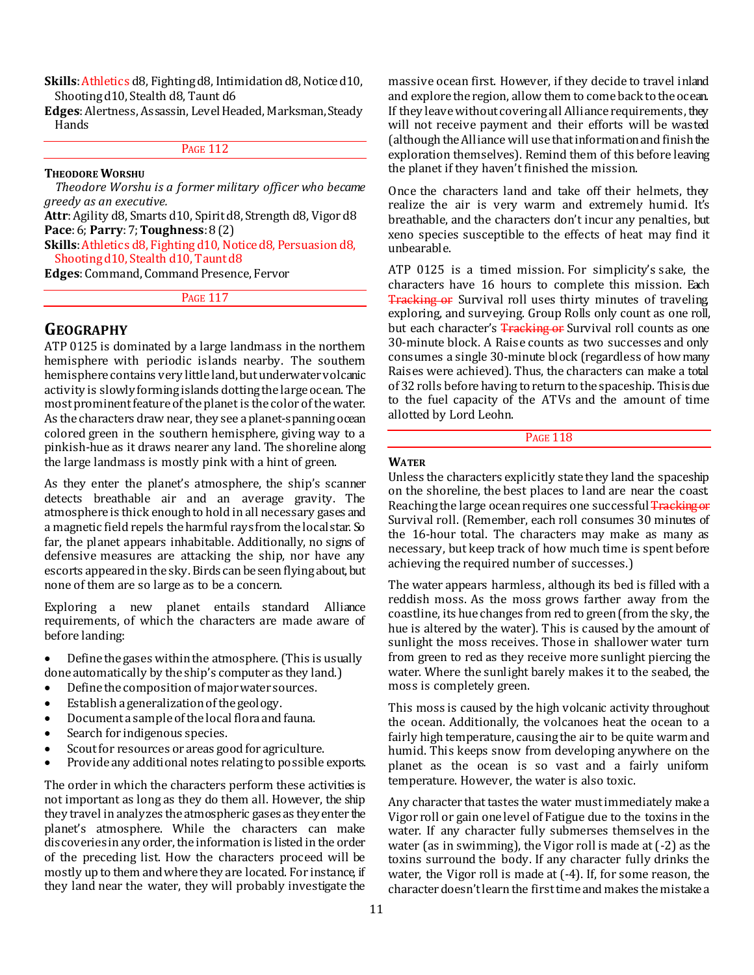Skills: Athletics d8, Fighting d8, Intimidation d8, Notice d10, Shooting d10, Stealth d8, Taunt d6

**Edges**:Alertness, Assassin, Level Headed, Marksman, Steady **Hands** 

## **PAGE 112**

#### **THEODORE WORSHU**

*Theodore Worshu is a former military officer who became greedy as an executive.*

**Attr**: Agility d8, Smarts d10, Spirit d8, Strength d8, Vigor d8 **Pace**: 6; **Parry**: 7; **Toughness**: 8 (2)

**Skills**: Athletics d8, Fighting d10, Notice d8, Persuasion d8, Shooting d10, Stealth d10, Taunt d8

**Edges**: Command, Command Presence, Fervor

PAGE 117

## **GEOGRAPHY**

ATP 0125 is dominated by a large landmass in the northern hemisphere with periodic islands nearby. The southern hemisphere contains very little land, but underwater volcanic activity is slowly forming islands dotting the large ocean. The most prominent feature of the planet is the color of the water. As the characters draw near, they see a planet-spanning ocean colored green in the southern hemisphere, giving way to a pinkish-hue as it draws nearer any land. The shoreline along the large landmass is mostly pink with a hint of green.

As they enter the planet's atmosphere, the ship's scanner detects breathable air and an average gravity. The atmosphere is thick enough to hold in all necessary gases and a magnetic field repels the harmful rays from the local star. So far, the planet appears inhabitable. Additionally, no signs of defensive measures are attacking the ship, nor have any escorts appeared in the sky. Birds can be seen flying about, but none of them are so large as to be a concern.

Exploring a new planet entails standard Alliance requirements, of which the characters are made aware of before landing:

- Define the gases within the atmosphere. (This is usually done automatically by the ship's computer as they land.)
- Define the composition of major water sources.
- Establish a generalization of the geology.
- Document a sample of the local flora and fauna.
- Search for indigenous species.
- Scout for resources or areas good for agriculture.
- Provide any additional notes relating to possible exports.

The order in which the characters perform these activities is not important as long as they do them all. However, the ship they travel in analyzes the atmospheric gases as they enter the planet's atmosphere. While the characters can make discoveries in any order, the information is listed in the order of the preceding list. How the characters proceed will be mostly up to them and where they are located. For instance, if they land near the water, they will probably investigate the

massive ocean first. However, if they decide to travel inland and explore the region, allow them to come back to the ocean. If they leave without covering all Alliance requirements, they will not receive payment and their efforts will be wasted (although the Alliancewill use that information and finish the exploration themselves). Remind them of this before leaving the planet if they haven't finished the mission.

Once the characters land and take off their helmets, they realize the air is very warm and extremely humid. It's breathable, and the characters don't incur any penalties, but xeno species susceptible to the effects of heat may find it unbearable.

ATP 0125 is a timed mission. For simplicity's sake, the characters have 16 hours to complete this mission. Each **Tracking or** Survival roll uses thirty minutes of traveling exploring, and surveying. Group Rolls only count as one roll, but each character's Tracking or Survival roll counts as one 30-minute block. A Raise counts as two successes and only consumes a single 30-minute block (regardless of how many Raises were achieved). Thus, the characters can make a total of 32 rolls before having to return to the spaceship. This is due to the fuel capacity of the ATVs and the amount of time allotted by Lord Leohn.

**PAGE 118** 

#### **WATER**

Unless the characters explicitly state they land the spaceship on the shoreline, the best places to land are near the coast. Reaching the large ocean requires one successful Tracking or Survival roll. (Remember, each roll consumes 30 minutes of the 16-hour total. The characters may make as many as necessary, but keep track of how much time is spent before achieving the required number of successes.)

The water appears harmless, although its bed is filled with a reddish moss. As the moss grows farther away from the coastline, its hue changes from red to green (from the sky, the hue is altered by the water). This is caused by the amount of sunlight the moss receives. Those in shallower water turn from green to red as they receive more sunlight piercing the water. Where the sunlight barely makes it to the seabed, the moss is completely green.

This moss is caused by the high volcanic activity throughout the ocean. Additionally, the volcanoes heat the ocean to a fairly high temperature, causing the air to be quite warm and humid. This keeps snow from developing anywhere on the planet as the ocean is so vast and a fairly uniform temperature. However, the water is also toxic.

Any character that tastes the water must immediately make a Vigor roll or gain one level of Fatigue due to the toxins in the water. If any character fully submerses themselves in the water (as in swimming), the Vigor roll is made at (-2) as the toxins surround the body. If any character fully drinks the water, the Vigor roll is made at (-4). If, for some reason, the character doesn't learn the first time and makes the mistake a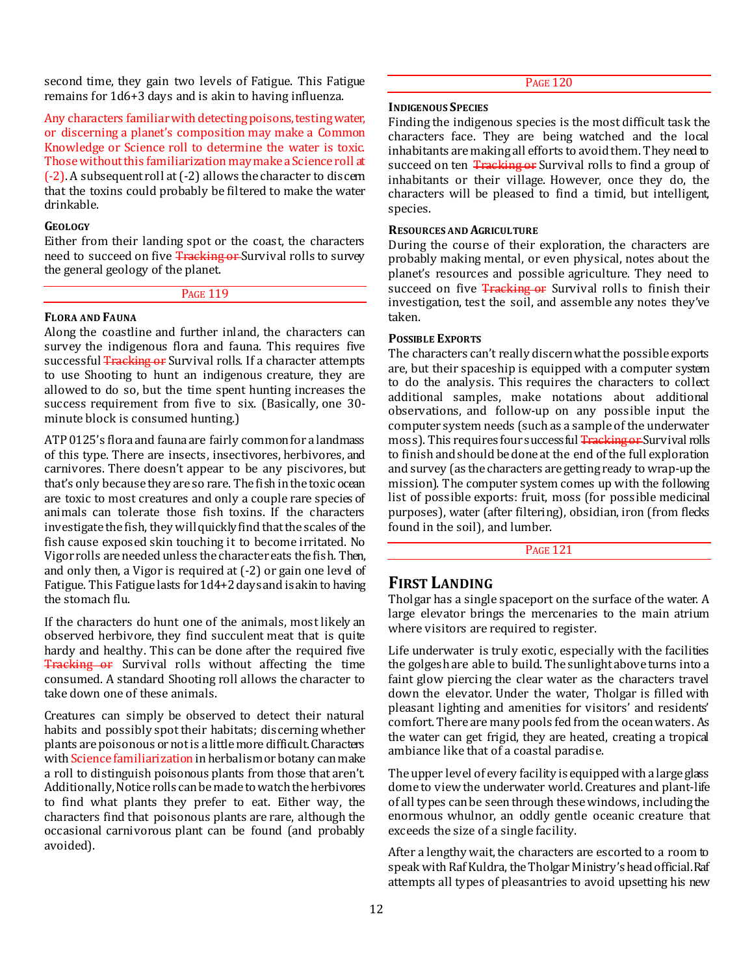second time, they gain two levels of Fatigue. This Fatigue remains for 1d6+3 days and is akin to having influenza.

Any characters familiar with detecting poisons, testing water, or discerning a planet's composition may make a Common Knowledge or Science roll to determine the water is toxic. Those without this familiarization may make a Science roll at (-2). A subsequent roll at (-2) allows the character to discern that the toxins could probably be filtered to make the water drinkable.

#### **GEOLOGY**

Either from their landing spot or the coast, the characters need to succeed on five Tracking or Survival rolls to survey the general geology of the planet.

**PAGE 119** 

#### **FLORA AND FAUNA**

Along the coastline and further inland, the characters can survey the indigenous flora and fauna. This requires five successful Tracking or Survival rolls. If a character attempts to use Shooting to hunt an indigenous creature, they are allowed to do so, but the time spent hunting increases the success requirement from five to six. (Basically, one 30 minute block is consumed hunting.)

ATP 0125's flora and fauna are fairly common for a landmass of this type. There are insects, insectivores, herbivores, and carnivores. There doesn't appear to be any piscivores, but that's only because they are so rare. The fish in the toxic ocean are toxic to most creatures and only a couple rare species of animals can tolerate those fish toxins. If the characters investigate the fish, they will quickly find that the scales of the fish cause exposed skin touching it to become irritated. No Vigor rolls are needed unless the character eats the fish. Then, and only then, a Vigor is required at (-2) or gain one level of Fatigue. This Fatigue lasts for 1d4+2 days and is akin to having the stomach flu.

If the characters do hunt one of the animals, most likely an observed herbivore, they find succulent meat that is quite hardy and healthy. This can be done after the required five Tracking or Survival rolls without affecting the time consumed. A standard Shooting roll allows the character to take down one of these animals.

Creatures can simply be observed to detect their natural habits and possibly spot their habitats; discerning whether plants are poisonous or not is a little more difficult. Characters with Science familiarization in herbalism or botany can make a roll to distinguish poisonous plants from those that aren't. Additionally, Notice rolls can be made to watch the herbivores to find what plants they prefer to eat. Either way, the characters find that poisonous plants are rare, although the occasional carnivorous plant can be found (and probably avoided).

PAGE 120

#### **INDIGENOUS SPECIES**

Finding the indigenous species is the most difficult task the characters face. They are being watched and the local inhabitants are making all efforts to avoid them. They need to succeed on ten Tracking or Survival rolls to find a group of inhabitants or their village. However, once they do, the characters will be pleased to find a timid, but intelligent, species.

## **RESOURCES AND AGRICULTURE**

During the course of their exploration, the characters are probably making mental, or even physical, notes about the planet's resources and possible agriculture. They need to succeed on five Tracking or Survival rolls to finish their investigation, test the soil, and assemble any notes they've taken.

#### **POSSIBLE EXPORTS**

The characters can't really discern what the possible exports are, but their spaceship is equipped with a computer system to do the analysis. This requires the characters to collect additional samples, make notations about additional observations, and follow-up on any possible input the computer system needs (such as a sample of the underwater moss). This requires four successful Tracking or Survival rolls to finish and should be done at the end of the full exploration and survey (as the characters are getting ready to wrap-up the mission). The computer system comes up with the following list of possible exports: fruit, moss (for possible medicinal purposes), water (after filtering), obsidian, iron (from flecks found in the soil), and lumber.

**PAGE 121** 

## **FIRST LANDING**

Tholgar has a single spaceport on the surface of the water. A large elevator brings the mercenaries to the main atrium where visitors are required to register.

Life underwater is truly exotic, especially with the facilities the golgesh are able to build. The sunlight above turns into a faint glow piercing the clear water as the characters travel down the elevator. Under the water, Tholgar is filled with pleasant lighting and amenities for visitors' and residents' comfort. There are many pools fed from the ocean waters. As the water can get frigid, they are heated, creating a tropical ambiance like that of a coastal paradise.

The upper level of every facility is equipped with a large glass dome to view the underwater world. Creatures and plant-life of all types can be seen through these windows, including the enormous whulnor, an oddly gentle oceanic creature that exceeds the size of a single facility.

After a lengthy wait, the characters are escorted to a room to speak with Raf Kuldra, the Tholgar Ministry's head official. Raf attempts all types of pleasantries to avoid upsetting his new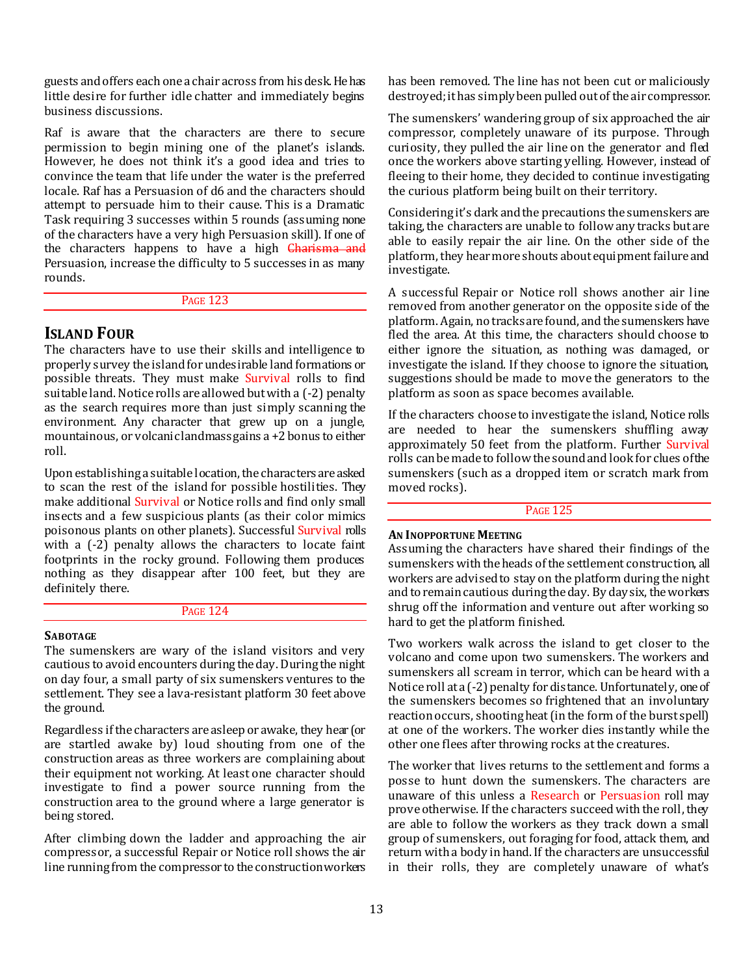guests and offers each one a chair across from his desk. He has little desire for further idle chatter and immediately begins business discussions.

Raf is aware that the characters are there to secure permission to begin mining one of the planet's islands. However, he does not think it's a good idea and tries to convince the team that life under the water is the preferred locale. Raf has a Persuasion of d6 and the characters should attempt to persuade him to their cause. This is a Dramatic Task requiring 3 successes within 5 rounds (assuming none of the characters have a very high Persuasion skill). If one of the characters happens to have a high **Charisma and** Persuasion, increase the difficulty to 5 successes in as many rounds.

#### PAGE 123

## **ISLAND FOUR**

The characters have to use their skills and intelligence to properly survey the island for undesirable land formations or possible threats. They must make Survival rolls to find suitable land. Notice rolls are allowed but with a (-2) penalty as the search requires more than just simply scanning the environment. Any character that grew up on a jungle, mountainous, or volcanic landmass gains a +2 bonus to either roll.

Upon establishing a suitable location, the characters are asked to scan the rest of the island for possible hostilities. They make additional Survival or Notice rolls and find only small insects and a few suspicious plants (as their color mimics poisonous plants on other planets). Successful Survival rolls with a  $(-2)$  penalty allows the characters to locate faint footprints in the rocky ground. Following them produces nothing as they disappear after 100 feet, but they are definitely there.

#### PAGE 124

### **SABOTAGE**

The sumenskers are wary of the island visitors and very cautious to avoid encounters during the day. During the night on day four, a small party of six sumenskers ventures to the settlement. They see a lava-resistant platform 30 feet above the ground.

Regardless if the characters are asleep or awake, they hear (or are startled awake by) loud shouting from one of the construction areas as three workers are complaining about their equipment not working. At least one character should investigate to find a power source running from the construction area to the ground where a large generator is being stored.

After climbing down the ladder and approaching the air compressor, a successful Repair or Notice roll shows the air line running from the compressor to the construction workers

has been removed. The line has not been cut or maliciously destroyed; it has simply been pulled out of the air compressor.

The sumenskers' wandering group of six approached the air compressor, completely unaware of its purpose. Through curiosity, they pulled the air line on the generator and fled once the workers above starting yelling. However, instead of fleeing to their home, they decided to continue investigating the curious platform being built on their territory.

Considering it's dark and the precautions the sumenskers are taking, the characters are unable to follow any tracks but are able to easily repair the air line. On the other side of the platform, they hear more shouts about equipment failure and investigate.

A successful Repair or Notice roll shows another air line removed from another generator on the opposite side of the platform. Again, no tracks are found, and the sumenskers have fled the area. At this time, the characters should choose to either ignore the situation, as nothing was damaged, or investigate the island. If they choose to ignore the situation, suggestions should be made to move the generators to the platform as soon as space becomes available.

If the characters choose to investigate the island, Notice rolls are needed to hear the sumenskers shuffling away approximately 50 feet from the platform. Further Survival rolls can be made to follow the sound and look for clues of the sumenskers (such as a dropped item or scratch mark from moved rocks).

#### PAGE 125

#### **AN INOPPORTUNE MEETING**

Assuming the characters have shared their findings of the sumenskers with the heads of the settlement construction, all workers are advised to stay on the platform during the night and to remain cautious during the day. By day six, the workers shrug off the information and venture out after working so hard to get the platform finished.

Two workers walk across the island to get closer to the volcano and come upon two sumenskers. The workers and sumenskers all scream in terror, which can be heard with a Notice roll at a (-2) penalty for distance. Unfortunately, one of the sumenskers becomes so frightened that an involuntary reaction occurs, shooting heat (in the form of the burst spell) at one of the workers. The worker dies instantly while the other one flees after throwing rocks at the creatures.

The worker that lives returns to the settlement and forms a posse to hunt down the sumenskers. The characters are unaware of this unless a Research or Persuasion roll may prove otherwise. If the characters succeed with the roll, they are able to follow the workers as they track down a small group of sumenskers, out foraging for food, attack them, and return with a body in hand. If the characters are unsuccessful in their rolls, they are completely unaware of what's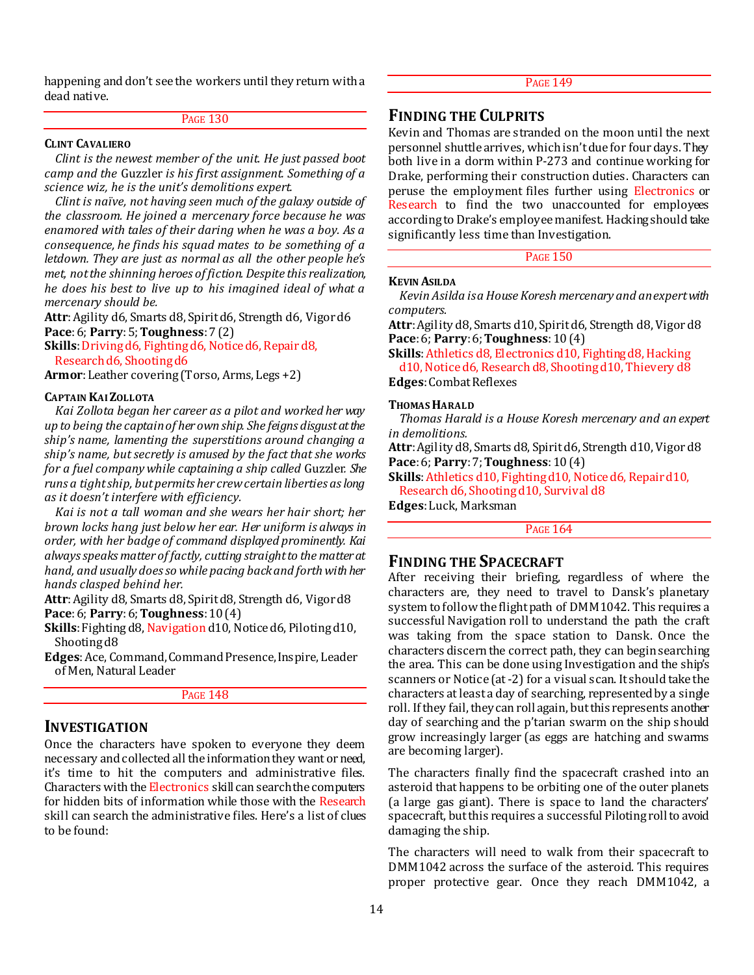happening and don't see the workers until they return with a dead native.

## PAGE 130

#### **CLINT CAVALIERO**

*Clint is the newest member of the unit. He just passed boot camp and the* Guzzler *is his first assignment. Something of a science wiz, he is the unit's demolitions expert.*

*Clint is naïve, not having seen much of the galaxy outside of the classroom. He joined a mercenary force because he was enamored with tales of their daring when he was a boy. As a consequence, he finds his squad mates to be something of a letdown. They are just as normal as all the other people he's met, not the shinning heroes of fiction. Despite this realization, he does his best to live up to his imagined ideal of what a mercenary should be.*

**Attr**: Agility d6, Smarts d8, Spirit d6, Strength d6, Vigor d6 **Pace**: 6; **Parry**: 5; **Toughness**: 7 (2)

Skills: Driving d6, Fighting d6, Notice d6, Repair d8, Research d6, Shooting d6

**Armor**:Leather covering (Torso, Arms, Legs +2)

#### **CAPTAIN KAI ZOLLOTA**

*Kai Zollota began her career as a pilot and worked her way up to being the captain of her own ship. She feigns disgust at the ship's name, lamenting the superstitions around changing a ship's name, but secretly is amused by the fact that she works for a fuel company while captaining a ship called* Guzzler*. She runs a tight ship, but permits her crew certain liberties as long as it doesn't interfere with efficiency.*

*Kai is not a tall woman and she wears her hair short; her brown locks hang just below her ear. Her uniform is always in order, with her badge of command displayed prominently. Kai always speaks matter of factly, cutting straight to the matter at hand, and usually does so while pacing back and forth with her hands clasped behind her.*

**Attr**:Agility d8, Smarts d8, Spirit d8, Strength d6, Vigor d8 **Pace**: 6; **Parry**: 6; **Toughness**: 10 (4)

**Skills**: Fighting d8, Navigation d10, Notice d6, Piloting d10, Shooting d8

**Edges**:Ace, Command, Command Presence, Inspire, Leader of Men, Natural Leader

#### **PAGE 148**

## **INVESTIGATION**

Once the characters have spoken to everyone they deem necessary and collected all the information they want or need, it's time to hit the computers and administrative files. Characters with the Electronics skill can search the computers for hidden bits of information while those with the Research skill can search the administrative files. Here's a list of clues to be found:

## PAGE 149

## **FINDING THE CULPRITS**

Kevin and Thomas are stranded on the moon until the next personnel shuttle arrives, which isn't due for four days. They both live in a dorm within P-273 and continue working for Drake, performing their construction duties. Characters can peruse the employment files further using Electronics or Research to find the two unaccounted for employees according to Drake's employee manifest. Hacking should take significantly less time than Investigation.

#### PAGE 150

#### **KEVIN ASILDA**

*Kevin Asilda is a House Koresh mercenary and an expert with computers.*

**Attr**: Agility d8, Smarts d10, Spirit d6, Strength d8, Vigor d8 **Pace**: 6; **Parry**: 6; **Toughness**: 10 (4)

**Skills**: Athletics d8, Electronics d10, Fighting d8, Hacking d10, Notice d6, Research d8, Shooting d10, Thievery d8 **Edges**: Combat Reflexes

#### **THOMAS HARALD**

*Thomas Harald is a House Koresh mercenary and an expert in demolitions.*

**Attr**: Agility d8, Smarts d8, Spirit d6, Strength d10, Vigor d8 **Pace**: 6; **Parry**: 7; **Toughness**: 10 (4)

**Skills**: Athletics d10, Fighting d10, Notice d6, Repair d10, Research d6, Shooting d10, Survival d8

**Edges**: Luck, Marksman

PAGE 164

## **FINDING THE SPACECRAFT**

After receiving their briefing, regardless of where the characters are, they need to travel to Dansk's planetary system to follow the flight path of DMM1042. This requires a successful Navigation roll to understand the path the craft was taking from the space station to Dansk. Once the characters discern the correct path, they can begin searching the area. This can be done using Investigation and the ship's scanners or Notice (at -2) for a visual scan. It should take the characters at least a day of searching, represented by a single roll. If they fail, they can roll again, but this represents another day of searching and the p'tarian swarm on the ship should grow increasingly larger (as eggs are hatching and swarms are becoming larger).

The characters finally find the spacecraft crashed into an asteroid that happens to be orbiting one of the outer planets (a large gas giant). There is space to land the characters' spacecraft, but this requires a successful Piloting roll to avoid damaging the ship.

The characters will need to walk from their spacecraft to DMM1042 across the surface of the asteroid. This requires proper protective gear. Once they reach DMM1042, a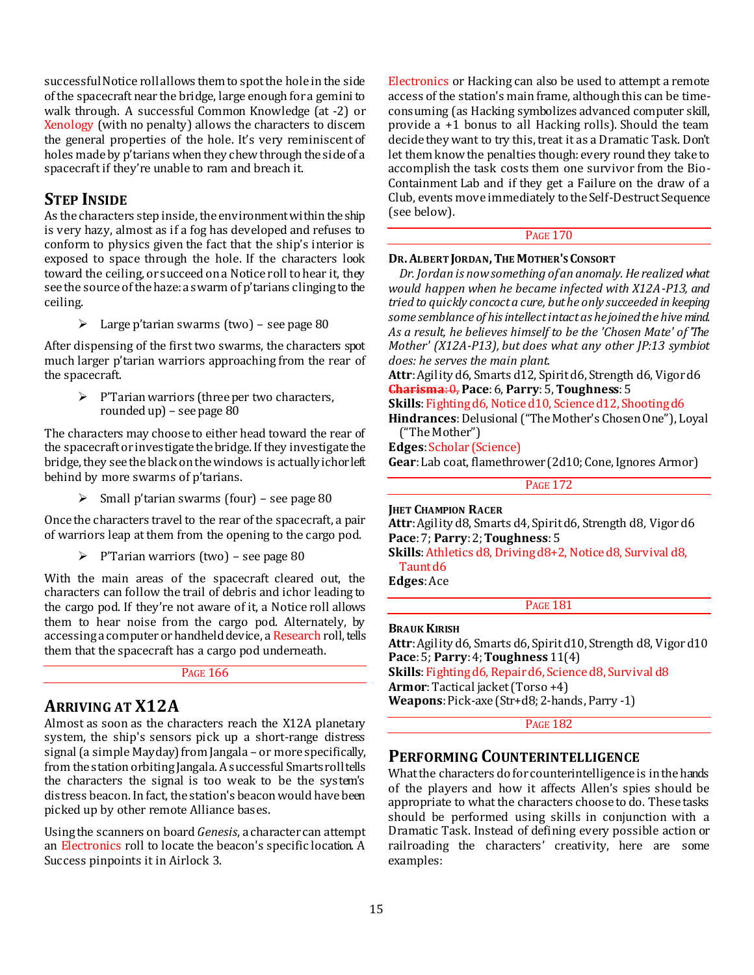successful Notice roll allows them to spot the hole in the side of the spacecraft near the bridge, large enough for a gemini to walk through. A successful Common Knowledge (at -2) or Xenology (with no penalty) allows the characters to discern the general properties of the hole. It's very reminiscent of holes made by p'tarians when they chew through the side of a spacecraft if they're unable to ram and breach it.

## **STEP INSIDE**

As the characters step inside, the environment within the ship is very hazy, almost as if a fog has developed and refuses to conform to physics given the fact that the ship's interior is exposed to space through the hole. If the characters look toward the ceiling, or succeed on a Notice roll to hear it, they see the source of the haze: a swarm of p'tarians clinging to the ceiling.

 $\geq$  Large p'tarian swarms (two) – see page 80

After dispensing of the first two swarms, the characters spot much larger p'tarian warriors approaching from the rear of the spacecraft.

> $\triangleright$  P'Tarian warriors (three per two characters, rounded up) – see page 80

The characters may choose to either head toward the rear of the spacecraft or investigate the bridge. If they investigate the bridge, they see the black on the windows is actually ichor left behind by more swarms of p'tarians.

 $\triangleright$  Small p'tarian swarms (four) – see page 80

Once the characters travel to the rear of the spacecraft, a pair of warriors leap at them from the opening to the cargo pod.

 $\triangleright$  P'Tarian warriors (two) – see page 80

With the main areas of the spacecraft cleared out, the characters can follow the trail of debris and ichor leading to the cargo pod. If they're not aware of it, a Notice roll allows them to hear noise from the cargo pod. Alternately, by accessing a computer or handheld device, a Research roll, tells them that the spacecraft has a cargo pod underneath.

## PAGE 166

## **ARRIVING AT X12A**

Almost as soon as the characters reach the X12A planetary system, the ship's sensors pick up a short-range distress signal (a simple Mayday) from Jangala – or more specifically, from the station orbiting Jangala. A successful Smarts roll tells the characters the signal is too weak to be the system's distress beacon. In fact, the station's beacon would have been picked up by other remote Alliance bases.

Using the scanners on board *Genesis*, a character can attempt an Electronics roll to locate the beacon's specific location. A Success pinpoints it in Airlock 3.

Electronics or Hacking can also be used to attempt a remote access ofthe station's main frame, although this can be timeconsuming (as Hacking symbolizes advanced computer skill, provide a +1 bonus to all Hacking rolls). Should the team decide they want to try this, treat it as a Dramatic Task. Don't let them know the penalties though: every round they take to accomplish the task costs them one survivor from the Bio-Containment Lab and if they get a Failure on the draw of a Club, events move immediately to the Self-Destruct Sequence (see below).

#### PAGE 170

## **DR.ALBERT JORDAN,THE MOTHER'S CONSORT**

*Dr. Jordan is now something of an anomaly. He realized what would happen when he became infected with X12A-P13, and tried to quickly concoct a cure, but he only succeeded in keeping some semblance of his intellect intact as he joined the hive mind. As a result, he believes himself to be the 'Chosen Mate' of 'The Mother' (X12A-P13), but does what any other JP:13 symbiot does: he serves the main plant.*

**Attr**: Agility d6, Smarts d12, Spirit d6, Strength d6, Vigor d6 **Charisma**: 0, **Pace**: 6, **Parry**: 5, **Toughness**: 5

**Skills**: Fighting d6, Notice d10, Science d12, Shooting d6

**Hindrances**: Delusional ("The Mother's Chosen One"), Loyal ("The Mother")

**Edges**: Scholar (Science)

**Gear**:Lab coat, flamethrower (2d10; Cone, Ignores Armor)

PAGE 172

**JHET CHAMPION RACER Attr**: Agility d8, Smarts d4, Spirit d6, Strength d8, Vigor d6 **Pace**:7; **Parry**: 2; **Toughness**: 5

**Skills**:Athletics d8, Driving d8+2, Notice d8, Survival d8, Taunt d6

**Edges**:Ace

**PAGE 181** 

#### **BRAUK KIRISH**

**Attr**: Agility d6, Smarts d6, Spirit d10, Strength d8, Vigor d10 **Pace**: 5; **Parry**: 4; **Toughness** 11(4)

**Skills**: Fighting d6, Repair d6, Science d8, Survival d8 **Armor**: Tactical jacket (Torso +4)

**Weapons**: Pick-axe (Str+d8; 2-hands, Parry -1)

PAGE 182

## **PERFORMING COUNTERINTELLIGENCE**

What the characters do for counterintelligence is in the hands of the players and how it affects Allen's spies should be appropriate to what the characters choose to do. These tasks should be performed using skills in conjunction with a Dramatic Task. Instead of defining every possible action or railroading the characters' creativity, here are some examples: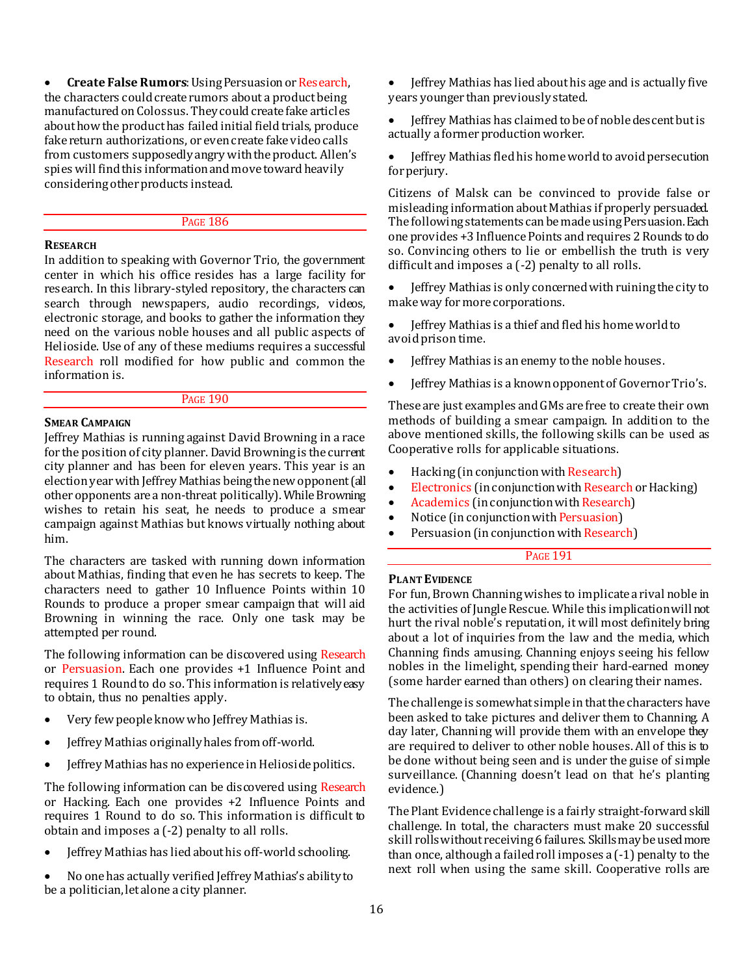**Create False Rumors**: Using Persuasion or Research, the characters could create rumors about a product being manufactured on Colossus. They could create fake articles about how the product has failed initial field trials, produce fake return authorizations, or even create fake video calls from customers supposedly angry with the product. Allen's spies will find this information and move toward heavily considering other products instead.

PAGE 186

## **RESEARCH**

In addition to speaking with Governor Trio, the government center in which his office resides has a large facility for research. In this library-styled repository, the characters can search through newspapers, audio recordings, videos, electronic storage, and books to gather the information they need on the various noble houses and all public aspects of Helioside. Use of any of these mediums requires a successful Research roll modified for how public and common the information is.

#### PAGE 190

#### **SMEAR CAMPAIGN**

Jeffrey Mathias is running against David Browning in a race for the position of city planner. David Browning is the current city planner and has been for eleven years. This year is an election year with Jeffrey Mathias being the new opponent (all other opponents are a non-threat politically). While Browning wishes to retain his seat, he needs to produce a smear campaign against Mathias but knows virtually nothing about him.

The characters are tasked with running down information about Mathias, finding that even he has secrets to keep. The characters need to gather 10 Influence Points within 10 Rounds to produce a proper smear campaign that will aid Browning in winning the race. Only one task may be attempted per round.

The following information can be discovered using Research or Persuasion. Each one provides +1 Influence Point and requires 1 Round to do so. This information is relatively easy to obtain, thus no penalties apply.

- Very few people know who Jeffrey Mathias is.
- Jeffrey Mathias originally hales from off-world.
- Jeffrey Mathias has no experience in Helioside politics.

The following information can be discovered using Research or Hacking. Each one provides +2 Influence Points and requires 1 Round to do so. This information is difficult to obtain and imposes a (-2) penalty to all rolls.

Jeffrey Mathias has lied about his off-world schooling.

 No one has actually verified Jeffrey Mathias's ability to be a politician, let alone a city planner.

 Jeffrey Mathias has lied about his age and is actually five years younger than previously stated.

 Jeffrey Mathias has claimed to be of noble descent but is actually a former production worker.

 Jeffrey Mathias fled his home world to avoid persecution for periury.

Citizens of Malsk can be convinced to provide false or misleading information about Mathias if properly persuaded. The following statements can be made using Persuasion. Each one provides +3 Influence Points and requires 2 Rounds to do so. Convincing others to lie or embellish the truth is very difficult and imposes a (-2) penalty to all rolls.

 Jeffrey Mathias is only concerned with ruining the city to make way for more corporations.

 Jeffrey Mathias is a thief and fled his home world to avoid prison time.

- Jeffrey Mathias is an enemy to the noble houses.
- Jeffrey Mathias is a known opponent of Governor Trio's.

These are just examples and GMs are free to create their own methods of building a smear campaign. In addition to the above mentioned skills, the following skills can be used as Cooperative rolls for applicable situations.

- Hacking (in conjunction with Research)
- Electronics (in conjunction with Research or Hacking)
- Academics (in conjunction with Research)
- Notice (in conjunction with Persuasion)
- Persuasion (in conjunction with Research)

## PAGE 191

## **PLANT EVIDENCE**

For fun, Brown Channing wishes to implicate a rival noble in the activities of Jungle Rescue. While this implication will not hurt the rival noble's reputation, it will most definitely bring about a lot of inquiries from the law and the media, which Channing finds amusing. Channing enjoys seeing his fellow nobles in the limelight, spending their hard-earned money (some harder earned than others) on clearing their names.

The challenge is somewhat simple in that the characters have been asked to take pictures and deliver them to Channing. A day later, Channing will provide them with an envelope they are required to deliver to other noble houses. All of this is to be done without being seen and is under the guise of simple surveillance. (Channing doesn't lead on that he's planting evidence.)

The Plant Evidence challenge is a fairly straight-forward skill challenge. In total, the characters must make 20 successful skill rolls without receiving 6 failures. Skills may be used more than once, although a failed roll imposes a (-1) penalty to the next roll when using the same skill. Cooperative rolls are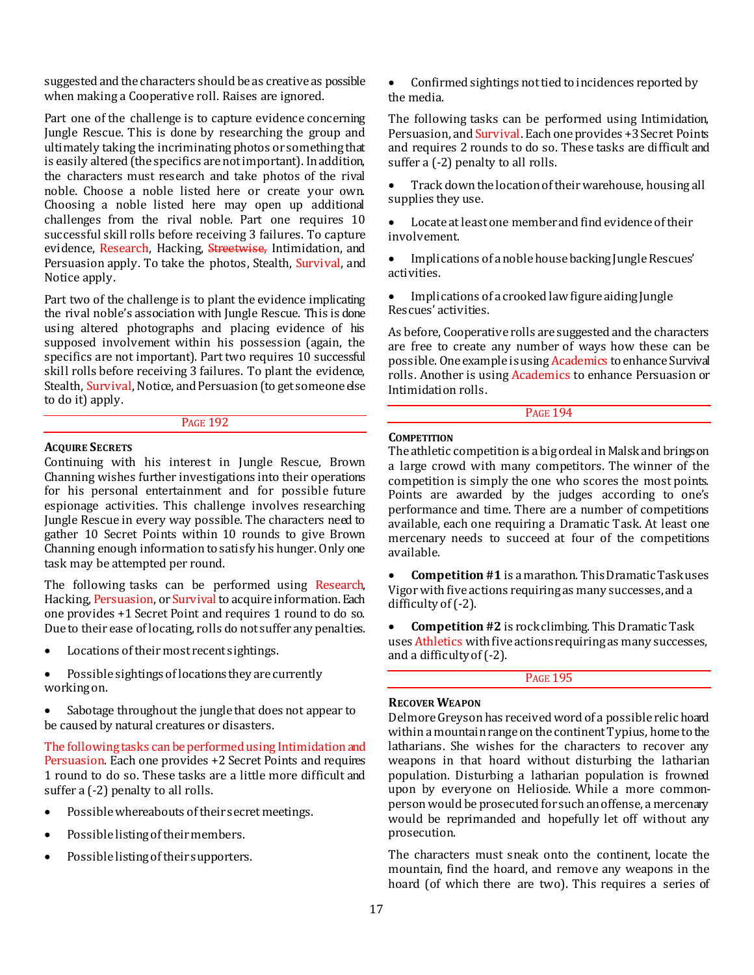suggested and the characters should be as creative as possible when making a Cooperative roll. Raises are ignored.

Part one of the challenge is to capture evidence concerning Jungle Rescue. This is done by researching the group and ultimately taking the incriminating photos or something that is easily altered (the specifics are not important). In addition, the characters must research and take photos of the rival noble. Choose a noble listed here or create your own. Choosing a noble listed here may open up additional challenges from the rival noble. Part one requires 10 successful skill rolls before receiving 3 failures. To capture evidence, Research, Hacking, Streetwise, Intimidation, and Persuasion apply. To take the photos, Stealth, Survival, and Notice apply.

Part two of the challenge is to plant the evidence implicating the rival noble's association with Jungle Rescue. This is done using altered photographs and placing evidence of his supposed involvement within his possession (again, the specifics are not important). Part two requires 10 successful skill rolls before receiving 3 failures. To plant the evidence, Stealth, Survival, Notice, and Persuasion (to get someone else to do it) apply.

#### PAGE 192

#### **ACQUIRE SECRETS**

Continuing with his interest in Jungle Rescue, Brown Channing wishes further investigations into their operations for his personal entertainment and for possible future espionage activities. This challenge involves researching Jungle Rescue in every way possible. The characters need to gather 10 Secret Points within 10 rounds to give Brown Channing enough information to satisfy his hunger. Only one task may be attempted per round.

The following tasks can be performed using Research, Hacking, Persuasion, or Survival to acquire information. Each one provides +1 Secret Point and requires 1 round to do so. Due to their ease of locating, rolls do not suffer any penalties.

- Locations of their most recent sightings.
- Possible sightings of locations they are currently working on.
- Sabotage throughout the jungle that does not appear to be caused by natural creatures or disasters.

The following tasks can be performed using Intimidation and Persuasion. Each one provides +2 Secret Points and requires 1 round to do so. These tasks are a little more difficult and suffer a  $(-2)$  penalty to all rolls.

- Possible whereabouts of their secret meetings.
- Possible listing of their members.
- Possible listing of their supporters.

 Confirmed sightings not tied to incidences reported by the media.

The following tasks can be performed using Intimidation, Persuasion, and Survival. Each one provides +3 Secret Points and requires 2 rounds to do so. These tasks are difficult and suffer a  $(-2)$  penalty to all rolls.

 Track down the location of their warehouse, housing all supplies they use.

 Locate at least one member and find evidence of their involvement.

 Implications of a noble house backing Jungle Rescues' activities.

 Implications of a crooked law figure aiding Jungle Rescues' activities.

As before, Cooperative rolls are suggested and the characters are free to create any number of ways how these can be possible. One example is using **Academics** to enhance Survival rolls. Another is using Academics to enhance Persuasion or Intimidation rolls.

PAGE 194

#### **COMPETITION**

The athletic competition is a big ordeal in Malsk and brings on a large crowd with many competitors. The winner of the competition is simply the one who scores the most points. Points are awarded by the judges according to one's performance and time. There are a number of competitions available, each one requiring a Dramatic Task. At least one mercenary needs to succeed at four of the competitions available.

 **Competition #1** is a marathon. This Dramatic Task uses Vigor with five actions requiring as many successes, and a difficulty of  $(-2)$ .

 **Competition #2** is rock climbing. This Dramatic Task uses Athletics with five actions requiring as many successes, and a difficulty of (-2).

## PAGE 195

## **RECOVER WEAPON**

Delmore Greyson has received word of a possible relic hoard within a mountain range on the continent Typius, home to the latharians. She wishes for the characters to recover any weapons in that hoard without disturbing the latharian population. Disturbing a latharian population is frowned upon by everyone on Helioside. While a more commonperson would be prosecuted for such an offense, a mercenary would be reprimanded and hopefully let off without any prosecution.

The characters must sneak onto the continent, locate the mountain, find the hoard, and remove any weapons in the hoard (of which there are two). This requires a series of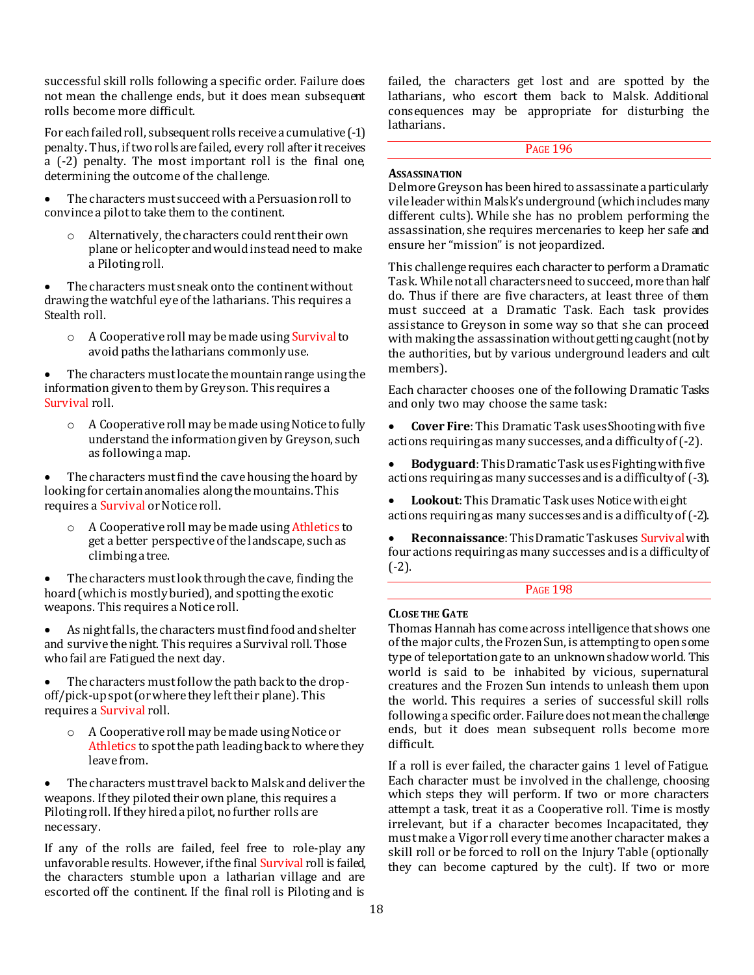successful skill rolls following a specific order. Failure does not mean the challenge ends, but it does mean subsequent rolls become more difficult.

For each failed roll, subsequent rolls receive a cumulative (-1) penalty. Thus, if two rolls are failed, every roll after it receives a (-2) penalty. The most important roll is the final one, determining the outcome of the challenge.

 The characters must succeed with a Persuasion roll to convince a pilot to take them to the continent.

o Alternatively, the characters could rent their own plane or helicopter and would instead need to make a Piloting roll.

 The characters must sneak onto the continent without drawing the watchful eye of the latharians. This requires a Stealth roll.

o A Cooperative roll may be made using Survival to avoid paths the latharians commonly use.

 The characters must locate the mountain range using the information given to them by Greyson. This requires a Survival roll.

o A Cooperative roll may be made using Notice to fully understand the information given by Greyson, such as following a map.

 The characters must find the cave housing the hoard by looking for certain anomalies along the mountains. This requires a Survival or Notice roll.

o A Cooperative roll may be made using Athletics to get a better perspective of the landscape, such as climbing a tree.

 The characters must look through the cave, finding the hoard (which is mostly buried), and spotting the exotic weapons. This requires a Notice roll.

 As night falls, the characters must find food and shelter and survive the night. This requires a Survival roll. Those who fail are Fatigued the next day.

• The characters must follow the path back to the dropoff/pick-up spot (or where they left their plane). This requires a Survival roll.

o A Cooperative roll may be made using Notice or Athletics to spot the path leading back to where they leave from.

 The characters must travel back to Malsk and deliver the weapons. If they piloted their own plane, this requires a Piloting roll. If they hired a pilot, no further rolls are necessary.

If any of the rolls are failed, feel free to role-play any unfavorable results. However, if the final Survival roll is failed, the characters stumble upon a latharian village and are escorted off the continent. If the final roll is Piloting and is

failed, the characters get lost and are spotted by the latharians, who escort them back to Malsk. Additional consequences may be appropriate for disturbing the latharians.

## PAGE 196

## **ASSASSINATION**

Delmore Greyson has been hired to assassinate a particularly vile leader within Malsk's underground (which includes many different cults). While she has no problem performing the assassination, she requires mercenaries to keep her safe and ensure her "mission" is not jeopardized.

This challenge requires each character to perform a Dramatic Task. While not all characters need to succeed, more than half do. Thus if there are five characters, at least three of them must succeed at a Dramatic Task. Each task provides assistance to Greyson in some way so that she can proceed with making the assassination without getting caught (not by the authorities, but by various underground leaders and cult members).

Each character chooses one of the following Dramatic Tasks and only two may choose the same task:

 **Cover Fire**: This Dramatic Task uses Shooting with five actions requiring as many successes, and a difficulty of (-2).

 **Bodyguard**: This Dramatic Task uses Fighting with five actions requiring as many successes and is a difficulty of (-3).

 **Lookout**: This Dramatic Task uses Notice with eight actions requiring as many successes and is a difficulty of (-2).

 **Reconnaissance**: This Dramatic Task uses Survival with four actions requiring as many successes and is a difficulty of (-2).

### PAGE 198

## **CLOSE THE GATE**

Thomas Hannah has come across intelligence that shows one of the major cults, the Frozen Sun, is attempting to open some type of teleportation gate to an unknown shadow world. This world is said to be inhabited by vicious, supernatural creatures and the Frozen Sun intends to unleash them upon the world. This requires a series of successful skill rolls following a specific order. Failure does not mean the challenge ends, but it does mean subsequent rolls become more difficult.

If a roll is ever failed, the character gains 1 level of Fatigue. Each character must be involved in the challenge, choosing which steps they will perform. If two or more characters attempt a task, treat it as a Cooperative roll. Time is mostly irrelevant, but if a character becomes Incapacitated, they must make a Vigor roll every time another character makes a skill roll or be forced to roll on the Injury Table (optionally they can become captured by the cult). If two or more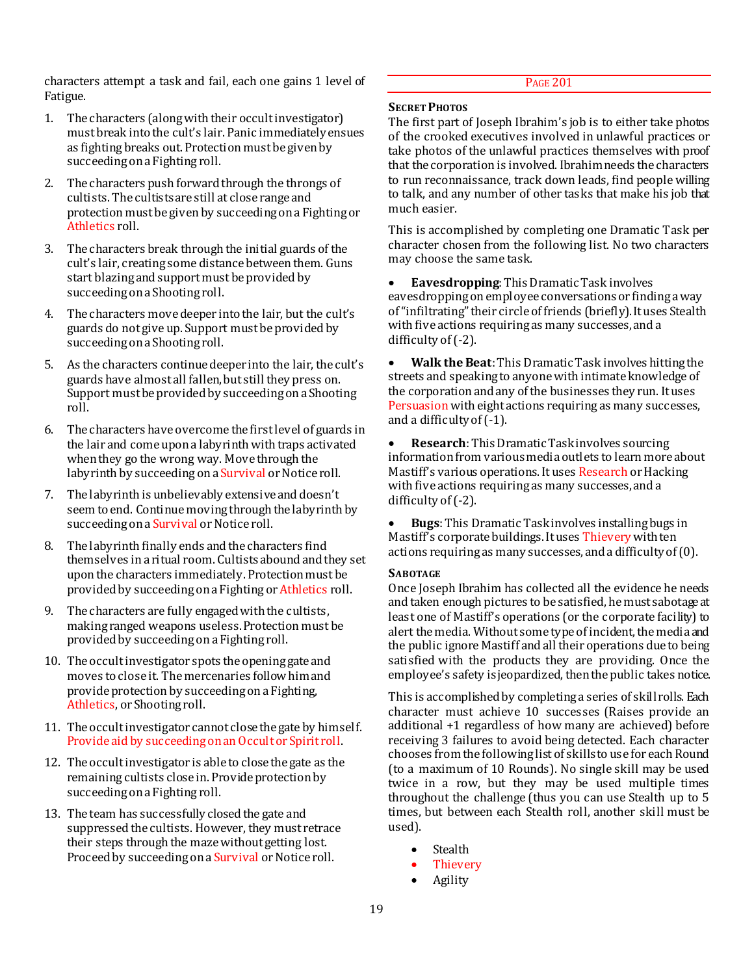characters attempt a task and fail, each one gains 1 level of Fatigue.

- 1. The characters (along with their occult investigator) must break into the cult's lair. Panic immediately ensues as fighting breaks out. Protection must be given by succeeding on a Fighting roll.
- 2. The characters push forward through the throngs of cultists. The cultists are still at close range and protection must be given by succeeding on a Fighting or Athletics roll.
- 3. The characters break through the initial guards of the cult's lair, creating some distance between them. Guns start blazing and support must be provided by succeeding on a Shooting roll.
- 4. The characters move deeper into the lair, but the cult's guards do not give up. Support must be provided by succeeding on a Shooting roll.
- 5. As the characters continue deeper into the lair, the cult's guards have almost all fallen, but still they press on. Support must be provided by succeeding on a Shooting roll.
- 6. The characters have overcome the first level of guards in the lair and come upon a labyrinth with traps activated when they go the wrong way. Move through the labyrinth by succeeding on a Survival or Notice roll.
- 7. The labyrinth is unbelievably extensive and doesn't seem to end. Continue moving through the labyrinth by succeeding on a Survival or Notice roll.
- 8. The labyrinth finally ends and the characters find themselves in a ritual room. Cultists abound and they set upon the characters immediately. Protection must be provided by succeeding on a Fighting or Athletics roll.
- 9. The characters are fully engaged with the cultists, making ranged weapons useless. Protection must be provided by succeeding on a Fighting roll.
- 10. The occult investigator spots the opening gate and moves to close it. The mercenaries follow him and provide protection by succeeding on a Fighting, Athletics, or Shooting roll.
- 11. The occult investigator cannot close the gate by himself. Provide aid by succeeding on an Occult or Spirit roll.
- 12. The occult investigator is able to close the gate as the remaining cultists close in. Provide protection by succeeding on a Fighting roll.
- 13. The team has successfully closed the gate and suppressed the cultists. However, they must retrace their steps through the maze without getting lost. Proceed by succeeding on a Survival or Notice roll.

## PAGE 201

## **SECRET PHOTOS**

The first part of Joseph Ibrahim's job is to either take photos of the crooked executives involved in unlawful practices or take photos of the unlawful practices themselves with proof that the corporation is involved. Ibrahim needs the characters to run reconnaissance, track down leads, find people willing to talk, and any number of other tasks that make his job that much easier.

This is accomplished by completing one Dramatic Task per character chosen from the following list. No two characters may choose the same task.

 **Eavesdropping**: This Dramatic Task involves eavesdropping on employee conversations or finding a way of "infiltrating" their circle of friends (briefly). It uses Stealth with five actions requiring as many successes, and a difficulty of (-2).

 **Walk the Beat**: This Dramatic Task involves hitting the streets and speaking to anyonewith intimate knowledge of the corporation and any of the businesses they run. It uses Persuasion with eight actions requiring as many successes, and a difficulty of (-1).

 **Research**: This Dramatic Task involves sourcing information from various media outlets to learn more about Mastiff's various operations. It uses Research or Hacking with five actions requiring as many successes, and a difficulty of  $(-2)$ .

 **Bugs**: This Dramatic Task involves installing bugs in Mastiff's corporate buildings. It uses Thievery with ten actions requiring as many successes, and a difficulty of (0).

## **SABOTAGE**

Once Joseph Ibrahim has collected all the evidence he needs and taken enough pictures to be satisfied, he must sabotage at least one of Mastiff's operations (or the corporate facility) to alert the media. Without some type of incident, the media and the public ignore Mastiff and all their operations due to being satisfied with the products they are providing. Once the employee's safety is jeopardized, then the public takes notice.

This is accomplished by completing a series of skill rolls. Each character must achieve 10 successes (Raises provide an additional +1 regardless of how many are achieved) before receiving 3 failures to avoid being detected. Each character chooses from the following list of skills to use for each Round (to a maximum of 10 Rounds). No single skill may be used twice in a row, but they may be used multiple times throughout the challenge (thus you can use Stealth up to 5 times, but between each Stealth roll, another skill must be used).

- Stealth
- Thievery
- Agility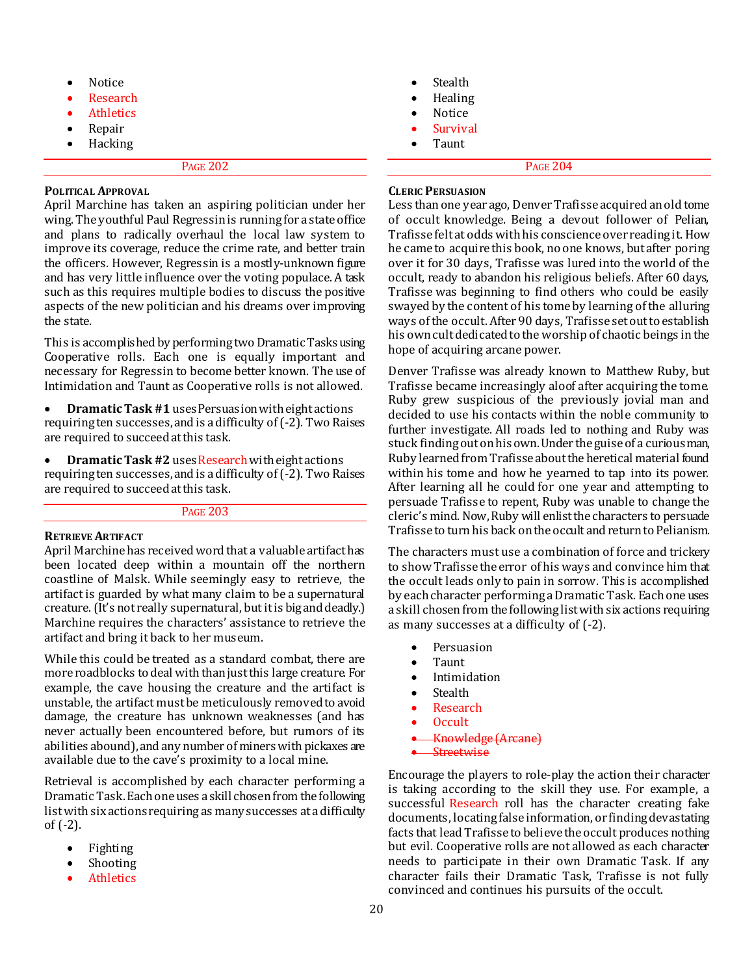- Notice
- Research
- **Athletics**
- Repair
- Hacking

#### **POLITICAL APPROVAL**

April Marchine has taken an aspiring politician under her wing. The youthful Paul Regressin is running for a state office and plans to radically overhaul the local law system to improve its coverage, reduce the crime rate, and better train the officers. However, Regressin is a mostly-unknown figure and has very little influence over the voting populace. A task such as this requires multiple bodies to discuss the positive aspects of the new politician and his dreams over improving the state.

This is accomplished by performing two Dramatic Tasks using Cooperative rolls. Each one is equally important and necessary for Regressin to become better known. The use of Intimidation and Taunt as Cooperative rolls is not allowed.

 **Dramatic Task #1** uses Persuasion with eight actions requiring ten successes, and is a difficulty of (-2). Two Raises are required to succeed at this task.

**•** Dramatic Task #2 uses Research with eight actions requiring ten successes, and is a difficulty of (-2). Two Raises are required to succeed at this task.

## PAGE 203

## **RETRIEVE ARTIFACT**

April Marchine has received word that a valuable artifact has been located deep within a mountain off the northern coastline of Malsk. While seemingly easy to retrieve, the artifact is guarded by what many claim to be a supernatural creature. (It's not really supernatural, but it is big and deadly.) Marchine requires the characters' assistance to retrieve the artifact and bring it back to her museum.

While this could be treated as a standard combat, there are more roadblocks to deal with than just this large creature. For example, the cave housing the creature and the artifact is unstable, the artifact must be meticulously removed to avoid damage, the creature has unknown weaknesses (and has never actually been encountered before, but rumors of its abilities abound), and any number of miners with pickaxes are available due to the cave's proximity to a local mine.

Retrieval is accomplished by each character performing a Dramatic Task. Each one uses a skill chosen from the following list with six actions requiring as many successes at a difficulty of (-2).

- Fighting
- Shooting
- **Athletics**
- Stealth
- Healing
- Notice
- Survival
- Taunt

PAGE 204

## **CLERIC PERSUASION**

Less than one year ago, Denver Trafisse acquired an old tome of occult knowledge. Being a devout follower of Pelian, Trafisse felt at odds with his conscience over reading it. How he came to acquire this book, no one knows, but after poring over it for 30 days, Trafisse was lured into the world of the occult, ready to abandon his religious beliefs. After 60 days, Trafisse was beginning to find others who could be easily swayed by the content of his tome by learning of the alluring ways of the occult. After 90 days, Trafisse set out to establish his own cult dedicated to the worship of chaotic beings in the hope of acquiring arcane power.

Denver Trafisse was already known to Matthew Ruby, but Trafisse became increasingly aloof after acquiring the tome. Ruby grew suspicious of the previously jovial man and decided to use his contacts within the noble community to further investigate. All roads led to nothing and Ruby was stuck finding out on his own. Under the guise of a curious man, Ruby learned from Trafisse about the heretical material found within his tome and how he yearned to tap into its power. After learning all he could for one year and attempting to persuade Trafisse to repent, Ruby was unable to change the cleric's mind. Now, Ruby will enlist the characters to persuade Trafisse to turn his back on the occult and return to Pelianism.

The characters must use a combination of force and trickery to show Trafisse the error of his ways and convince him that the occult leads only to pain in sorrow. This is accomplished by each character performing a Dramatic Task. Each one uses a skill chosen from the following list with six actions requiring as many successes at a difficulty of (-2).

- Persuasion
- Taunt
- Intimidation
- **Stealth**
- Research
- Occult
- Knowledge (Arcan
- **Streetwise**

Encourage the players to role-play the action their character is taking according to the skill they use. For example, a successful Research roll has the character creating fake documents, locating false information, or finding devastating facts that lead Trafisse to believe the occult produces nothing but evil. Cooperative rolls are not allowed as each character needs to participate in their own Dramatic Task. If any character fails their Dramatic Task, Trafisse is not fully convinced and continues his pursuits of the occult.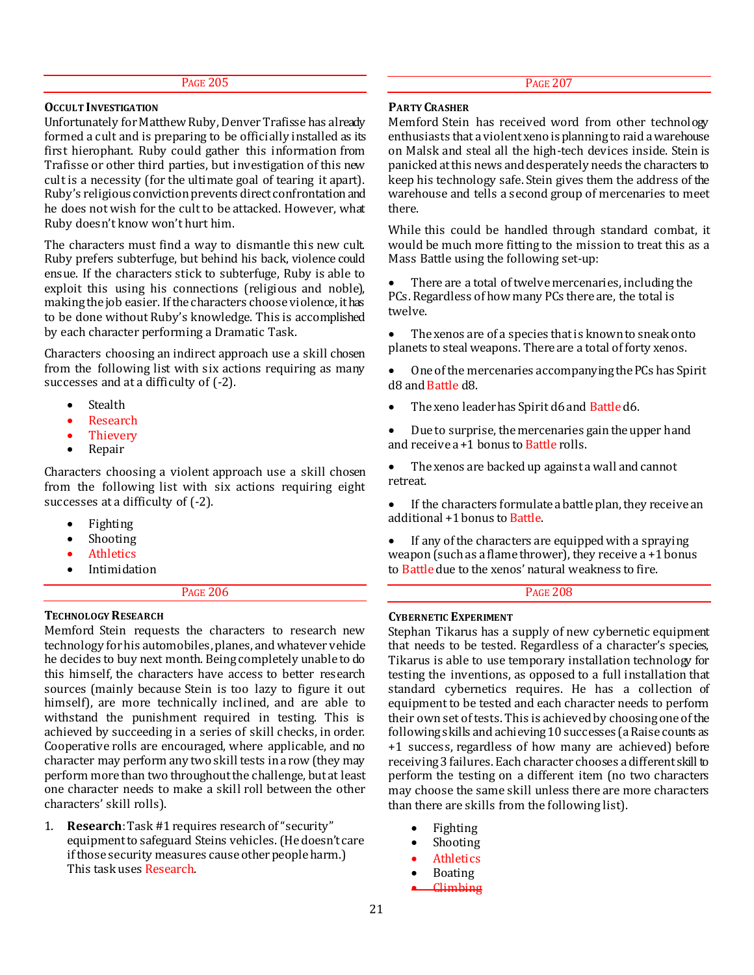#### **OCCULT INVESTIGATION**

Unfortunately for Matthew Ruby, Denver Trafisse has already formed a cult and is preparing to be officially installed as its first hierophant. Ruby could gather this information from Trafisse or other third parties, but investigation of this new cult is a necessity (for the ultimate goal of tearing it apart). Ruby's religious conviction prevents direct confrontation and he does not wish for the cult to be attacked. However, what Ruby doesn't know won't hurt him.

The characters must find a way to dismantle this new cult. Ruby prefers subterfuge, but behind his back, violence could ensue. If the characters stick to subterfuge, Ruby is able to exploit this using his connections (religious and noble), making the job easier. If the characters choose violence, it has to be done without Ruby's knowledge. This is accomplished by each character performing a Dramatic Task.

Characters choosing an indirect approach use a skill chosen from the following list with six actions requiring as many successes and at a difficulty of (-2).

- **Stealth**
- Research
- Thievery
- Repair

Characters choosing a violent approach use a skill chosen from the following list with six actions requiring eight successes at a difficulty of (-2).

- Fighting
- Shooting
- **Athletics**
- Intimidation

## PAGE 206

#### **TECHNOLOGY RESEARCH**

Memford Stein requests the characters to research new technology for his automobiles, planes, and whatever vehicle he decides to buy next month. Being completely unable to do this himself, the characters have access to better research sources (mainly because Stein is too lazy to figure it out himself), are more technically inclined, and are able to withstand the punishment required in testing. This is achieved by succeeding in a series of skill checks, in order. Cooperative rolls are encouraged, where applicable, and no character may perform any two skill tests in a row (they may perform more than two throughout the challenge, but at least one character needs to make a skill roll between the other characters' skill rolls).

1. **Research**: Task #1 requires research of "security" equipment to safeguard Steins vehicles. (He doesn't care if those security measures cause other people harm.) This task uses Research.

#### **PARTY CRASHER**

Memford Stein has received word from other technology enthusiasts that a violent xeno is planning to raid a warehouse on Malsk and steal all the high-tech devices inside. Stein is panicked at this news and desperately needs the characters to keep his technology safe. Stein gives them the address of the warehouse and tells a second group of mercenaries to meet there.

While this could be handled through standard combat, it would be much more fitting to the mission to treat this as a Mass Battle using the following set-up:

 There are a total of twelve mercenaries, including the PCs. Regardless of how many PCs there are, the total is twelve.

 The xenos are of a species that is known to sneak onto planets to steal weapons. There are a total of forty xenos.

 One of the mercenaries accompanying the PCs has Spirit d8 and Battle d8.

- The xeno leader has Spirit d6 and Battle d6.
- Due to surprise, the mercenaries gain the upper hand and receive a +1 bonus to Battle rolls.

 The xenos are backed up against a wall and cannot retreat.

 If the characters formulate a battle plan, they receive an additional +1 bonus to Battle.

 If any of the characters are equipped with a spraying weapon (such as a flame thrower), they receive a +1 bonus to Battle due to the xenos' natural weakness to fire.

## PAGE 208

#### **CYBERNETIC EXPERIMENT**

Stephan Tikarus has a supply of new cybernetic equipment that needs to be tested. Regardless of a character's species, Tikarus is able to use temporary installation technology for testing the inventions, as opposed to a full installation that standard cybernetics requires. He has a collection of equipment to be tested and each character needs to perform their own set of tests. This is achieved by choosing one of the following skills and achieving 10 successes (a Raise counts as +1 success, regardless of how many are achieved) before receiving 3 failures. Each character chooses a different skill to perform the testing on a different item (no two characters may choose the same skill unless there are more characters than there are skills from the following list).

- Fighting
- Shooting
- Athletics
- Boating
- Climbing

PAGE 207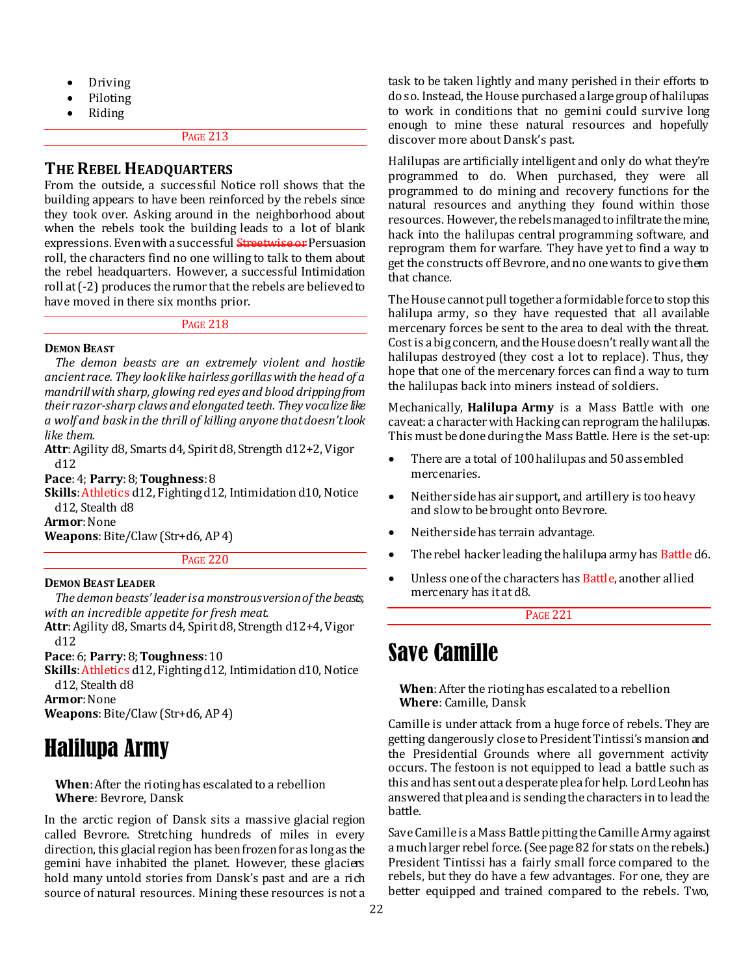- Driving
- Piloting
- Riding

## **THE REBEL HEADQUARTERS**

From the outside, a successful Notice roll shows that the building appears to have been reinforced by the rebels since they took over. Asking around in the neighborhood about when the rebels took the building leads to a lot of blank expressions. Even with a successful **Streetwise or** Persuasion roll, the characters find no one willing to talk to them about the rebel headquarters. However, a successful Intimidation roll at (-2) produces the rumor that the rebels are believed to have moved in there six months prior.

PAGE 218

#### **DEMON BEAST**

*The demon beasts are an extremely violent and hostile ancient race. They look like hairless gorillas with the head of a mandrill with sharp, glowing red eyes and blood dripping from their razor-sharp claws and elongated teeth. They vocalize like a wolf and bask in the thrill of killing anyone that doesn't look like them.*

**Attr**: Agility d8, Smarts d4, Spirit d8, Strength d12+2, Vigor d12

**Pace**: 4; **Parry**: 8; **Toughness**: 8

**Skills**: Athletics d12, Fighting d12, Intimidation d10, Notice d12, Stealth d8

**Armor**: None

**Weapons**: Bite/Claw (Str+d6, AP 4)

#### PAGE 220

## **DEMON BEAST LEADER**

*The demon beasts' leader is a monstrous version of the beasts, with an incredible appetite for fresh meat.*

**Attr**: Agility d8, Smarts d4, Spirit d8, Strength d12+4, Vigor d12

**Pace**: 6; **Parry**: 8; **Toughness**: 10

**Skills**: Athletics d12, Fighting d12, Intimidation d10, Notice d12, Stealth d8

**Armor**: None

**Weapons**: Bite/Claw (Str+d6, AP 4)

## Halilupa Army

**When**: After the rioting has escalated to a rebellion **Where**: Bevrore, Dansk

In the arctic region of Dansk sits a massive glacial region called Bevrore. Stretching hundreds of miles in every direction, this glacial region has been frozen for as long as the gemini have inhabited the planet. However, these glaciers hold many untold stories from Dansk's past and are a rich source of natural resources. Mining these resources is not a task to be taken lightly and many perished in their efforts to do so. Instead, the House purchased a large group of halilupas to work in conditions that no gemini could survive long enough to mine these natural resources and hopefully discover more about Dansk's past.

Halilupas are artificially intelligent and only do what they're programmed to do. When purchased, they were all programmed to do mining and recovery functions for the natural resources and anything they found within those resources. However, the rebels managed to infiltrate the mine, hack into the halilupas central programming software, and reprogram them for warfare. They have yet to find a way to get the constructs off Bevrore, and no one wants to give them that chance.

The House cannot pull together a formidable force to stop this halilupa army, so they have requested that all available mercenary forces be sent to the area to deal with the threat. Cost is a big concern, and the House doesn't really want all the halilupas destroyed (they cost a lot to replace). Thus, they hope that one of the mercenary forces can find a way to turn the halilupas back into miners instead of soldiers.

Mechanically, **Halilupa Army** is a Mass Battle with one caveat: a character with Hacking can reprogram the halilupas. This must be done during the Mass Battle. Here is the set-up:

- There are a total of 100 halilupas and 50 assembled mercenaries.
- Neither side has air support, and artillery is too heavy and slow to be brought onto Bevrore.
- Neither side has terrain advantage.
- The rebel hacker leading the halilupa army has Battle d6.
- Unless one of the characters has Battle, another allied mercenary has it at d8.

PAGE 221

## Save Camille

**When**: After the rioting has escalated to a rebellion **Where**: Camille, Dansk

Camille is under attack from a huge force of rebels. They are getting dangerously close to President Tintissi's mansion and the Presidential Grounds where all government activity occurs. The festoon is not equipped to lead a battle such as this and has sent out a desperate plea for help. Lord Leohn has answered that plea and is sending the characters in to lead the battle.

Save Camille is a Mass Battle pitting the Camille Army against a much larger rebel force. (See page 82 for stats on the rebels.) President Tintissi has a fairly small force compared to the rebels, but they do have a few advantages. For one, they are better equipped and trained compared to the rebels. Two,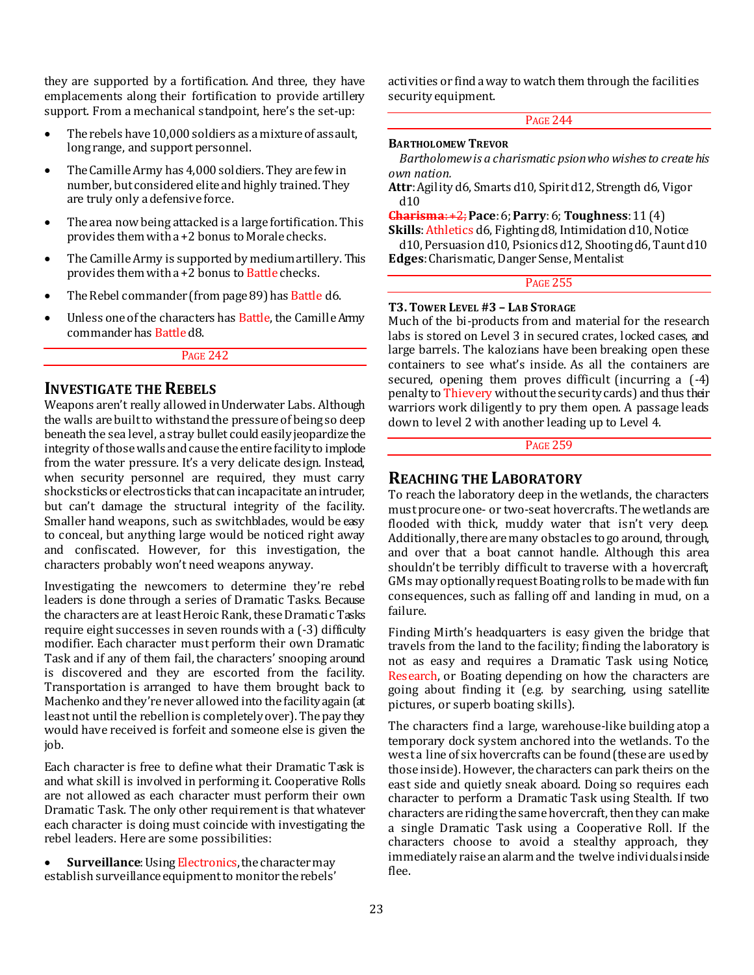they are supported by a fortification. And three, they have emplacements along their fortification to provide artillery support. From a mechanical standpoint, here's the set-up:

- The rebels have 10,000 soldiers as a mixture of assault. long range, and support personnel.
- The Camille Army has 4,000 soldiers. They are few in number, but considered elite and highly trained. They are truly only a defensive force.
- The area now being attacked is a large fortification. This provides them with a +2 bonus to Morale checks.
- The Camille Army is supported by medium artillery. This provides them with a +2 bonus to Battle checks.
- The Rebel commander (from page 89) has Battle d6.
- Unless one of the characters has Battle, the Camille Army commander has Battle d8.

## PAGE 242

## **INVESTIGATE THE REBELS**

Weapons aren't really allowed in Underwater Labs. Although the walls are built to withstand the pressure of being so deep beneath the sea level, a stray bullet could easily jeopardize the integrity of those walls and cause the entire facility to implode from the water pressure. It's a very delicate design. Instead, when security personnel are required, they must carry shocksticks or electrosticks that can incapacitate an intruder, but can't damage the structural integrity of the facility. Smaller hand weapons, such as switchblades, would be easy to conceal, but anything large would be noticed right away and confiscated. However, for this investigation, the characters probably won't need weapons anyway.

Investigating the newcomers to determine they're rebel leaders is done through a series of Dramatic Tasks. Because the characters are at least Heroic Rank, these Dramatic Tasks require eight successes in seven rounds with a (-3) difficulty modifier. Each character must perform their own Dramatic Task and if any of them fail, the characters' snooping around is discovered and they are escorted from the facility. Transportation is arranged to have them brought back to Machenko and they're never allowed into the facility again (at least not until the rebellion is completely over). The pay they would have received is forfeit and someone else is given the job.

Each character is free to define what their Dramatic Task is and what skill is involved in performing it. Cooperative Rolls are not allowed as each character must perform their own Dramatic Task. The only other requirement is that whatever each character is doing must coincide with investigating the rebel leaders. Here are some possibilities:

 **Surveillance**: Using Electronics, the character may establish surveillance equipment to monitor the rebels'

activities or find a way to watch them through the facilities security equipment.

#### PAGE 244

#### **BARTHOLOMEW TREVOR**

*Bartholomew is a charismatic psion who wishes to create his own nation.*

**Attr**: Agility d6, Smarts d10, Spirit d12, Strength d6, Vigor d10

**Charisma**: +2;**Pace**: 6; **Parry**: 6; **Toughness**: 11 (4)

**Skills**: Athletics d6, Fighting d8, Intimidation d10, Notice d10, Persuasion d10, Psionics d12, Shooting d6, Taunt d10 **Edges**:Charismatic, Danger Sense, Mentalist

PAGE 255

#### **T3.TOWER LEVEL #3 – LAB STORAGE**

Much of the bi-products from and material for the research labs is stored on Level 3 in secured crates, locked cases, and large barrels. The kalozians have been breaking open these containers to see what's inside. As all the containers are secured, opening them proves difficult (incurring a (-4) penalty to Thievery without the security cards) and thus their warriors work diligently to pry them open. A passage leads down to level 2 with another leading up to Level 4.

PAGE 259

## **REACHING THE LABORATORY**

To reach the laboratory deep in the wetlands, the characters must procure one- or two-seat hovercrafts. The wetlands are flooded with thick, muddy water that isn't very deen. Additionally, there are many obstacles to go around, through, and over that a boat cannot handle. Although this area shouldn't be terribly difficult to traverse with a hovercraft, GMs may optionally request Boating rolls to be made with fun consequences, such as falling off and landing in mud, on a failure.

Finding Mirth's headquarters is easy given the bridge that travels from the land to the facility; finding the laboratory is not as easy and requires a Dramatic Task using Notice, Research, or Boating depending on how the characters are going about finding it (e.g. by searching, using satellite pictures, or superb boating skills).

The characters find a large, warehouse-like building atop a temporary dock system anchored into the wetlands. To the west a line of six hovercrafts can be found (these are used by those inside). However, the characters can park theirs on the east side and quietly sneak aboard. Doing so requires each character to perform a Dramatic Task using Stealth. If two characters are riding the same hovercraft, then they can make a single Dramatic Task using a Cooperative Roll. If the characters choose to avoid a stealthy approach, they immediately raise an alarm and the twelve individuals inside flee.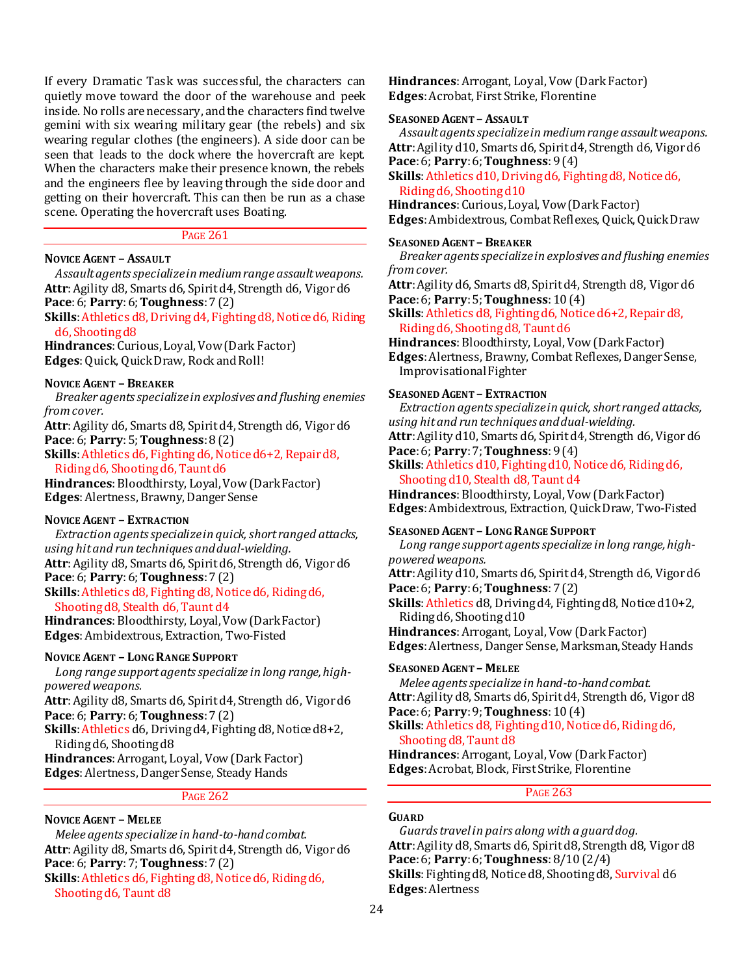If every Dramatic Task was successful, the characters can quietly move toward the door of the warehouse and peek inside. No rolls are necessary, and the characters find twelve gemini with six wearing military gear (the rebels) and six wearing regular clothes (the engineers). A side door can be seen that leads to the dock where the hovercraft are kept. When the characters make their presence known, the rebels and the engineers flee by leaving through the side door and getting on their hovercraft. This can then be run as a chase scene. Operating the hovercraft uses Boating.

#### PAGE 261

#### **NOVICE AGENT – ASSAULT**

*Assault agents specialize in medium range assault weapons.* **Attr**: Agility d8, Smarts d6, Spirit d4, Strength d6, Vigor d6 **Pace**: 6; **Parry**: 6; **Toughness**: 7 (2)

## **Skills**: Athletics d8, Driving d4, Fighting d8, Notice d6, Riding d6, Shooting d8

**Hindrances**: Curious, Loyal, Vow (Dark Factor) **Edges**: Quick, Quick Draw, Rock and Roll!

#### **NOVICE AGENT – BREAKER**

*Breaker agents specialize in explosives and flushing enemies from cover.*

**Attr**: Agility d6, Smarts d8, Spirit d4, Strength d6, Vigor d6 **Pace**: 6; **Parry**: 5; **Toughness**: 8 (2)

**Skills**: Athletics d6, Fighting d6, Notice d6+2, Repair d8, Riding d6, Shooting d6, Taunt d6

**Hindrances**: Bloodthirsty, Loyal, Vow (Dark Factor) **Edges**: Alertness, Brawny, Danger Sense

## **NOVICE AGENT – EXTRACTION**

*Extraction agents specialize in quick, short ranged attacks, using hit and run techniques and dual-wielding.* **Attr**: Agility d8, Smarts d6, Spirit d6, Strength d6, Vigor d6

## **Pace**: 6; **Parry**: 6; **Toughness**: 7 (2)

**Skills**: Athletics d8, Fighting d8, Notice d6, Riding d6, Shooting d8, Stealth d6, Taunt d4

**Hindrances**: Bloodthirsty, Loyal, Vow (Dark Factor) **Edges**: Ambidextrous, Extraction, Two-Fisted

## **NOVICE AGENT – LONG RANGE SUPPORT**

*Long range support agents specialize in long range, highpowered weapons.*

**Attr**: Agility d8, Smarts d6, Spirit d4, Strength d6, Vigor d6 **Pace**: 6; **Parry**: 6; **Toughness**: 7 (2)

**Skills**: Athletics d6, Driving d4, Fighting d8, Notice d8+2, Riding d6, Shooting d8

**Hindrances**: Arrogant, Loyal, Vow (Dark Factor) **Edges**: Alertness, Danger Sense, Steady Hands

#### PAGE 262

## **NOVICE AGENT – MELEE**

*Melee agents specialize in hand-to-hand combat.* **Attr**: Agility d8, Smarts d6, Spirit d4, Strength d6, Vigor d6 **Pace**: 6; **Parry**: 7; **Toughness**: 7 (2) **Skills**: Athletics d6, Fighting d8, Notice d6, Riding d6, Shooting d6, Taunt d8

**Hindrances**: Arrogant, Loyal, Vow (Dark Factor) **Edges**: Acrobat, First Strike, Florentine

#### **SEASONED AGENT – ASSAULT**

*Assault agents specialize in medium range assault weapons.* **Attr**: Agility d10, Smarts d6, Spirit d4, Strength d6, Vigor d6 **Pace**: 6; **Parry**: 6; **Toughness**: 9 (4)

**Skills**: Athletics d10, Driving d6, Fighting d8, Notice d6, Riding d6, Shooting d10

**Hindrances**: Curious, Loyal, Vow (Dark Factor) **Edges**: Ambidextrous, Combat Reflexes, Quick, Quick Draw

#### **SEASONED AGENT – BREAKER**

*Breaker agents specialize in explosives and flushing enemies from cover.*

**Attr**: Agility d6, Smarts d8, Spirit d4, Strength d8, Vigor d6 **Pace**: 6; **Parry**: 5; **Toughness**: 10 (4)

**Skills**: Athletics d8, Fighting d6, Notice d6+2, Repair d8, Riding d6, Shooting d8, Taunt d6

**Hindrances**: Bloodthirsty, Loyal, Vow (Dark Factor) **Edges**: Alertness, Brawny, Combat Reflexes, Danger Sense, Improvisational Fighter

## **SEASONED AGENT – EXTRACTION**

*Extraction agents specialize in quick, short ranged attacks, using hit and run techniques and dual-wielding.*

**Attr**: Agility d10, Smarts d6, Spirit d4, Strength d6, Vigor d6 **Pace**: 6; **Parry**: 7; **Toughness**: 9 (4)

**Skills**: Athletics d10, Fighting d10, Notice d6, Riding d6, Shooting d10, Stealth d8, Taunt d4

**Hindrances**: Bloodthirsty, Loyal, Vow (Dark Factor) **Edges**: Ambidextrous, Extraction, Quick Draw, Two-Fisted

## **SEASONED AGENT – LONG RANGE SUPPORT**

*Long range support agents specialize in long range, highpowered weapons.*

**Attr**: Agility d10, Smarts d6, Spirit d4, Strength d6, Vigor d6 **Pace**: 6; **Parry**: 6; **Toughness**: 7 (2)

**Skills**: Athletics d8, Driving d4, Fighting d8, Notice d10+2, Riding d6, Shooting d10

**Hindrances**: Arrogant, Loyal, Vow (Dark Factor) **Edges**: Alertness, Danger Sense, Marksman, Steady Hands

#### **SEASONED AGENT – MELEE**

*Melee agents specialize in hand-to-hand combat.* **Attr**: Agility d8, Smarts d6, Spirit d4, Strength d6, Vigor d8 **Pace**: 6; **Parry**: 9; **Toughness**: 10 (4)

**Skills**: Athletics d8, Fighting d10, Notice d6, Riding d6, Shooting d8, Taunt d8

**Hindrances**: Arrogant, Loyal, Vow (Dark Factor) **Edges**: Acrobat, Block, First Strike, Florentine

PAGE 263

#### **GUARD**

*Guards travel in pairs along with a guard dog.* **Attr**: Agility d8, Smarts d6, Spirit d8, Strength d8, Vigor d8 **Pace**: 6; **Parry**: 6; **Toughness**: 8/10 (2/4) **Skills**: Fighting d8, Notice d8, Shooting d8, Survival d6 **Edges**: Alertness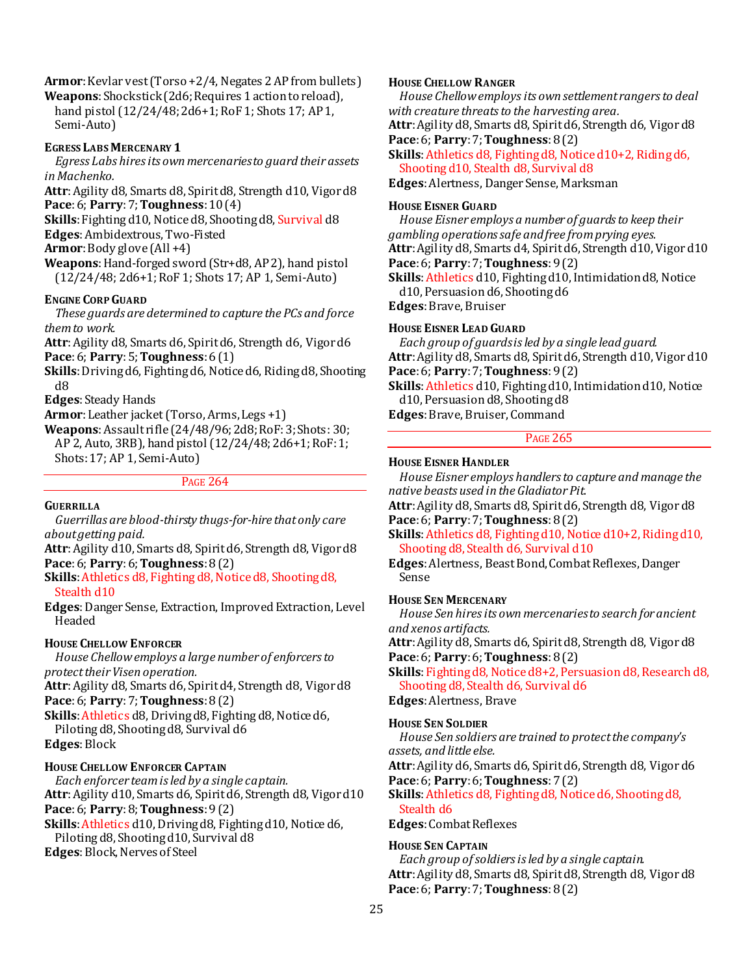Armor: Kevlar vest (Torso +2/4, Negates 2 AP from bullets)

**Weapons**: Shockstick (2d6; Requires 1 action to reload), hand pistol (12/24/48; 2d6+1; RoF 1; Shots 17; AP 1, Semi-Auto)

## **EGRESS LABS MERCENARY 1**

*Egress Labs hires its own mercenaries to guard their assets in Machenko.*

**Attr**: Agility d8, Smarts d8, Spirit d8, Strength d10, Vigor d8 **Pace**: 6; **Parry**: 7; **Toughness**: 10 (4)

**Skills**: Fighting d10, Notice d8, Shooting d8, Survival d8 **Edges**: Ambidextrous, Two-Fisted

**Armor**: Body glove (All +4)

**Weapons**: Hand-forged sword (Str+d8, AP 2), hand pistol (12/24/48; 2d6+1; RoF 1; Shots 17; AP 1, Semi-Auto)

## **ENGINE CORP GUARD**

*These guards are determined to capture the PCs and force them to work.*

**Attr**: Agility d8, Smarts d6, Spirit d6, Strength d6, Vigor d6 **Pace**: 6; **Parry**: 5; **Toughness**: 6 (1)

**Skills**:Driving d6, Fighting d6, Notice d6, Riding d8, Shooting d8

**Edges**: Steady Hands

**Armor**:Leather jacket (Torso, Arms, Legs +1)

**Weapons**: Assault rifle (24/48/96; 2d8; RoF: 3; Shots: 30; AP 2, Auto, 3RB), hand pistol (12/24/48; 2d6+1; RoF: 1; Shots: 17; AP 1, Semi-Auto)

## PAGE 264

## **GUERRILLA**

*Guerrillas are blood-thirsty thugs-for-hire that only care about getting paid.*

**Attr**: Agility d10, Smarts d8, Spirit d6, Strength d8, Vigor d8 **Pace**: 6; **Parry**: 6; **Toughness**: 8 (2)

**Skills**: Athletics d8, Fighting d8, Notice d8, Shooting d8, Stealth d10

**Edges**: Danger Sense, Extraction, Improved Extraction, Level Headed

## **HOUSE CHELLOW ENFORCER**

*House Chellow employs a large number of enforcers to protect their Visen operation.*

**Attr**: Agility d8, Smarts d6, Spirit d4, Strength d8, Vigor d8 **Pace**: 6; **Parry**: 7; **Toughness**: 8 (2)

**Skills**: Athletics d8, Driving d8, Fighting d8, Notice d6, Piloting d8, Shooting d8, Survival d6 **Edges**: Block

## **HOUSE CHELLOW ENFORCER CAPTAIN**

*Each enforcer team is led by a single captain.* **Attr**: Agility d10, Smarts d6, Spirit d6, Strength d8, Vigor d10 **Pace**: 6; **Parry**: 8; **Toughness**: 9 (2) **Skills**: Athletics d10, Driving d8, Fighting d10, Notice d6, Piloting d8, Shooting d10, Survival d8

**Edges**: Block, Nerves of Steel

## **HOUSE CHELLOW RANGER**

*House Chellow employs its own settlement rangers to deal with creature threats to the harvesting area.* **Attr**: Agility d8, Smarts d8, Spirit d6, Strength d6, Vigor d8

**Pace**: 6; **Parry**: 7; **Toughness**: 8 (2)

**Skills**: Athletics d8, Fighting d8, Notice d10+2, Riding d6, Shooting d10, Stealth d8, Survival d8

**Edges**: Alertness, Danger Sense, Marksman

## **HOUSE EISNER GUARD**

*House Eisner employs a number of guards to keep their gambling operations safe and free from prying eyes.* **Attr**: Agility d8, Smarts d4, Spirit d6, Strength d10, Vigor d10 **Pace**: 6; **Parry**: 7; **Toughness**: 9 (2)

**Skills**: Athletics d10, Fighting d10, Intimidation d8, Notice d10, Persuasion d6, Shooting d6

**Edges**: Brave, Bruiser

## **HOUSE EISNER LEAD GUARD**

*Each group of guards is led by a single lead guard.* **Attr**:Agility d8, Smarts d8, Spirit d6, Strength d10, Vigor d10 **Pace**: 6; **Parry**: 7; **Toughness**: 9 (2)

**Skills**: Athletics d10, Fighting d10, Intimidation d10, Notice d10, Persuasion d8, Shooting d8

**Edges**: Brave, Bruiser, Command

## PAGE 265

## **HOUSE EISNER HANDLER**

*House Eisner employs handlers to capture and manage the native beasts used in the Gladiator Pit.*

**Attr**: Agility d8, Smarts d8, Spirit d6, Strength d8, Vigor d8 **Pace**: 6; **Parry**: 7; **Toughness**: 8 (2)

**Skills**: Athletics d8, Fighting d10, Notice d10+2, Riding d10, Shooting d8, Stealth d6, Survival d10

**Edges**: Alertness, Beast Bond, Combat Reflexes, Danger Sense

## **HOUSE SEN MERCENARY**

*House Sen hires its own mercenaries to search for ancient and xenos artifacts.*

**Attr**: Agility d8, Smarts d6, Spirit d8, Strength d8, Vigor d8 **Pace**: 6; **Parry**: 6; **Toughness**: 8 (2)

**Skills**: Fighting d8, Notice d8+2, Persuasion d8, Research d8, Shooting d8, Stealth d6, Survival d6

## **Edges**: Alertness, Brave

## **HOUSE SEN SOLDIER**

*House Sen soldiers are trained to protect the company's assets, and little else.*

**Attr**: Agility d6, Smarts d6, Spirit d6, Strength d8, Vigor d6 **Pace**: 6; **Parry**: 6; **Toughness**: 7 (2)

**Skills**: Athletics d8, Fighting d8, Notice d6, Shooting d8, Stealth d6

**Edges**: Combat Reflexes

## **HOUSE SEN CAPTAIN**

*Each group of soldiers is led by a single captain.* **Attr**: Agility d8, Smarts d8, Spirit d8, Strength d8, Vigor d8 **Pace**: 6; **Parry**: 7; **Toughness**: 8 (2)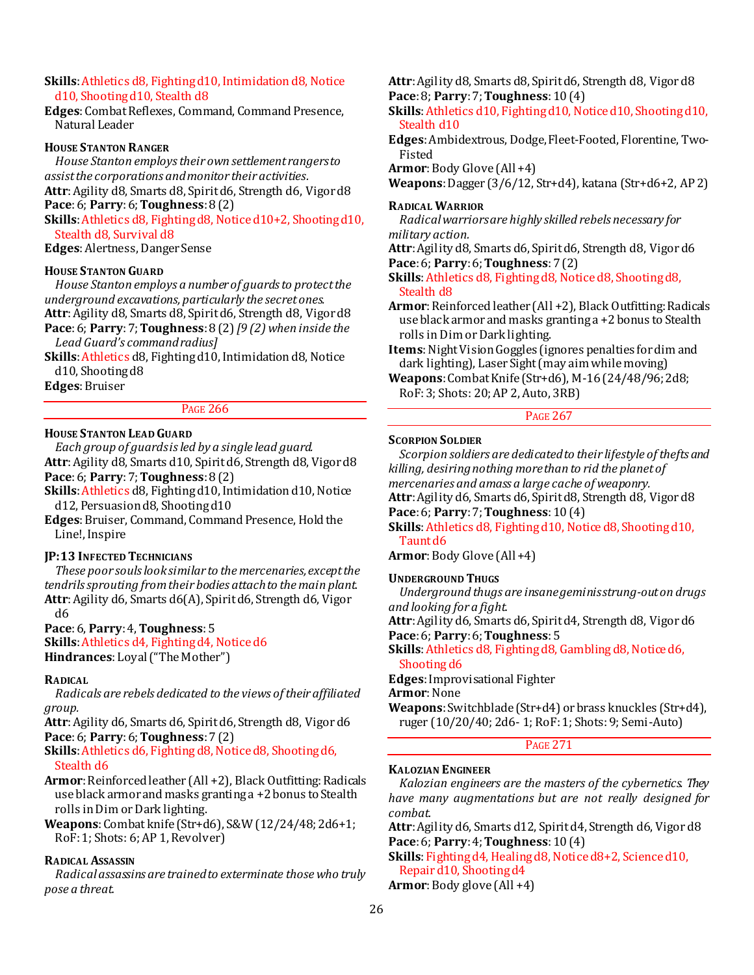## **Skills**: Athletics d8, Fighting d10, Intimidation d8, Notice d10, Shooting d10, Stealth d8

**Edges**: Combat Reflexes, Command, Command Presence, Natural Leader

#### **HOUSE STANTON RANGER**

*House Stanton employs their own settlement rangers to assist the corporations and monitor their activities.* **Attr**: Agility d8, Smarts d8, Spirit d6, Strength d6, Vigor d8 **Pace**: 6; **Parry**: 6; **Toughness**: 8 (2)

**Skills**: Athletics d8, Fighting d8, Notice d10+2, Shooting d10,

Stealth d8, Survival d8 **Edges**: Alertness, Danger Sense

#### **HOUSE STANTON GUARD**

*House Stanton employs a number of guards to protect the underground excavations, particularly the secret ones.* **Attr**: Agility d8, Smarts d8, Spirit d6, Strength d8, Vigor d8 **Pace**: 6; **Parry**: 7; **Toughness**: 8 (2) *[9 (2) when inside the* 

*Lead Guard's command radius]* **Skills**: Athletics d8, Fighting d10, Intimidation d8, Notice

d10, Shooting d8

**Edges**: Bruiser

## PAGE 266

## **HOUSE STANTON LEAD GUARD**

*Each group of guards is led by a single lead guard.* **Attr**: Agility d8, Smarts d10, Spirit d6, Strength d8, Vigor d8

## **Pace**: 6; **Parry**: 7; **Toughness**: 8 (2)

**Skills**: Athletics d8, Fighting d10, Intimidation d10, Notice d12, Persuasion d8, Shooting d10

**Edges**: Bruiser, Command, Command Presence, Hold the Line!, Inspire

## **JP:13 INFECTED TECHNICIANS**

*These poor souls look similar to the mercenaries, except the tendrils sprouting from their bodies attach to the main plant.* **Attr**: Agility d6, Smarts d6(A), Spirit d6, Strength d6, Vigor d6

#### **Pace**: 6, **Parry**: 4, **Toughness**: 5

**Skills**: Athletics d4, Fighting d4, Notice d6 **Hindrances**: Loyal ("The Mother")

#### **RADICAL**

*Radicals are rebels dedicated to the views of their affiliated group.*

**Attr**: Agility d6, Smarts d6, Spirit d6, Strength d8, Vigor d6 **Pace**: 6; **Parry**: 6; **Toughness**: 7 (2)

**Skills**: Athletics d6, Fighting d8, Notice d8, Shooting d6, Stealth d6

**Armor**: Reinforced leather (All +2), Black Outfitting: Radicals use black armor and masks granting a +2 bonus to Stealth rolls in Dim or Dark lighting.

**Weapons**: Combat knife (Str+d6), S&W (12/24/48; 2d6+1; RoF: 1; Shots: 6; AP 1, Revolver)

## **RADICAL ASSASSIN**

*Radical assassins are trained to exterminate those who truly pose a threat.*

**Attr**: Agility d8, Smarts d8, Spirit d6, Strength d8, Vigor d8 **Pace**: 8; **Parry**: 7; **Toughness**: 10 (4)

**Skills**: Athletics d10, Fighting d10, Notice d10, Shooting d10, Stealth d10

**Edges**: Ambidextrous, Dodge, Fleet-Footed, Florentine, Two-Fisted

**Armor**: Body Glove (All +4)

**Weapons**: Dagger (3/6/12, Str+d4), katana (Str+d6+2, AP 2)

#### **RADICAL WARRIOR**

*Radical warriors are highly skilled rebels necessary for military action.*

**Attr**: Agility d8, Smarts d6, Spirit d6, Strength d8, Vigor d6 **Pace**: 6; **Parry**: 6; **Toughness**: 7 (2)

**Skills**: Athletics d8, Fighting d8, Notice d8, Shooting d8, Stealth d8

**Armor**: Reinforced leather (All +2), Black Outfitting: Radicals use black armor and masks granting a +2 bonus to Stealth rolls in Dim or Dark lighting.

**Items**: Night Vision Goggles (ignores penalties for dim and dark lighting), Laser Sight (may aim while moving)

**Weapons**: Combat Knife (Str+d6), M-16 (24/48/96; 2d8; RoF: 3; Shots: 20; AP 2, Auto, 3RB)

#### PAGE 267

#### **SCORPION SOLDIER**

*Scorpion soldiers are dedicated to their lifestyle of thefts and killing, desiring nothing more than to rid the planet of mercenaries and amass a large cache of weaponry.* **Attr**: Agility d6, Smarts d6, Spirit d8, Strength d8, Vigor d8

**Pace**: 6; **Parry**: 7; **Toughness**: 10 (4)

**Skills**: Athletics d8, Fighting d10, Notice d8, Shooting d10, Taunt d6

**Armor**: Body Glove (All +4)

#### **UNDERGROUND THUGS**

*Underground thugs are insane geminis strung-out on drugs and looking for a fight.*

**Attr**: Agility d6, Smarts d6, Spirit d4, Strength d8, Vigor d6 **Pace**: 6; **Parry**: 6; **Toughness**: 5

**Skills**: Athletics d8, Fighting d8, Gambling d8, Notice d6, Shooting d6

**Edges**: Improvisational Fighter

**Armor**: None

**Weapons**: Switchblade (Str+d4) or brass knuckles (Str+d4), ruger (10/20/40; 2d6- 1; RoF: 1; Shots: 9; Semi-Auto)

PAGE 271

#### **KALOZIAN ENGINEER**

*Kalozian engineers are the masters of the cybernetics. They have many augmentations but are not really designed for combat.*

**Attr**: Agility d6, Smarts d12, Spirit d4, Strength d6, Vigor d8 **Pace**: 6; **Parry**: 4; **Toughness**: 10 (4)

**Skills**: Fighting d4, Healing d8, Notice d8+2, Science d10, Repair d10, Shooting d4

Armor: Body glove (All +4)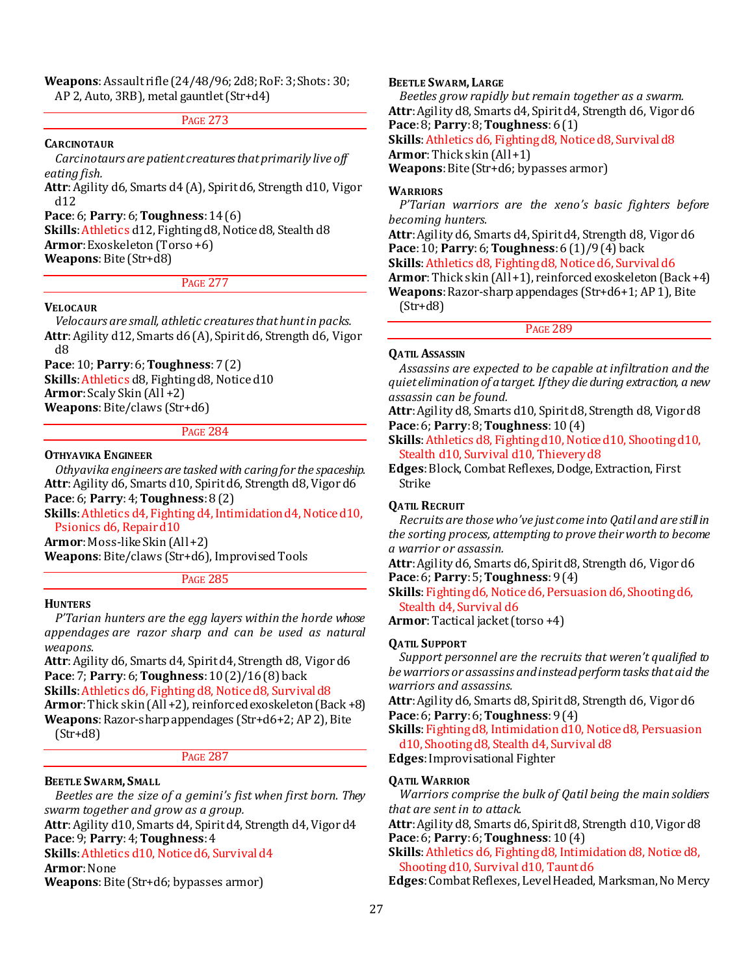#### **Weapons**: Assault rifle (24/48/96; 2d8; RoF: 3; Shots: 30; AP 2, Auto, 3RB), metal gauntlet (Str+d4)

## PAGE 273

#### **CARCINOTAUR**

*Carcinotaurs are patient creatures that primarily live off eating fish.*

**Attr**: Agility d6, Smarts d4 (A), Spirit d6, Strength d10, Vigor d12

**Pace**: 6; **Parry**: 6; **Toughness**: 14 (6)

**Skills**: Athletics d12, Fighting d8, Notice d8, Stealth d8 **Armor**: Exoskeleton (Torso +6) **Weapons**: Bite (Str+d8)

## PAGE 277

### **VELOCAUR**

*Velocaurs are small, athletic creatures that hunt in packs.* **Attr**: Agility d12, Smarts d6 (A), Spirit d6, Strength d6, Vigor d8

## **Pace**: 10; **Parry**: 6; **Toughness**: 7 (2)

**Skills**: Athletics d8, Fighting d8, Notice d10 **Armor**: Scaly Skin (All +2)

**Weapons**: Bite/claws (Str+d6)

#### PAGE 284

#### **OTHYAVIKA ENGINEER**

*Othyavika engineers are tasked with caring for the spaceship.* **Attr**: Agility d6, Smarts d10, Spirit d6, Strength d8, Vigor d6 **Pace**: 6; **Parry**: 4; **Toughness**: 8 (2)

**Skills**: Athletics d4, Fighting d4, Intimidation d4, Notice d10, Psionics d6, Repair d10

**Armor**: Moss-like Skin (All +2)

**Weapons**: Bite/claws (Str+d6), Improvised Tools

PAGE 285

#### **HUNTERS**

*P'Tarian hunters are the egg layers within the horde whose appendages are razor sharp and can be used as natural weapons.*

**Attr**: Agility d6, Smarts d4, Spirit d4, Strength d8, Vigor d6 **Pace**: 7; **Parry**: 6; **Toughness**: 10 (2)/16 (8) back

**Skills**: Athletics d6, Fighting d8, Notice d8, Survival d8

**Armor**: Thick skin (All +2), reinforced exoskeleton (Back +8) **Weapons**: Razor-sharp appendages (Str+d6+2; AP 2), Bite  $(Str+dB)$ 

## PAGE 287

## **BEETLE SWARM, SMALL**

*Beetles are the size of a gemini's fist when first born. They swarm together and grow as a group.*

**Attr**: Agility d10, Smarts d4, Spirit d4, Strength d4, Vigor d4 **Pace**: 9; **Parry**: 4; **Toughness**: 4

**Skills**: Athletics d10, Notice d6, Survival d4

## **Armor**: None

**Weapons**: Bite (Str+d6; bypasses armor)

## **BEETLE SWARM, LARGE**

*Beetles grow rapidly but remain together as a swarm.* **Attr**: Agility d8, Smarts d4, Spirit d4, Strength d6, Vigor d6 **Pace**: 8; **Parry**: 8; **Toughness**: 6 (1)

**Skills**: Athletics d6, Fighting d8, Notice d8, Survival d8

**Armor**: Thick skin (All +1)

**Weapons**: Bite (Str+d6; bypasses armor)

#### **WARRIORS**

*P'Tarian warriors are the xeno's basic fighters before becoming hunters.*

**Attr**: Agility d6, Smarts d4, Spirit d4, Strength d8, Vigor d6 **Pace**: 10; **Parry**: 6; **Toughness**: 6 (1)/9 (4) back

**Skills**: Athletics d8, Fighting d8, Notice d6, Survival d6

**Armor**: Thick skin (All +1), reinforced exoskeleton (Back +4)

**Weapons**: Razor-sharp appendages (Str+d6+1; AP 1), Bite  $(Str+dB)$ 

PAGE 289

#### **QATIL ASSASSIN**

*Assassins are expected to be capable at infiltration and the quiet elimination of a target. If they die during extraction, a new assassin can be found.* 

**Attr**: Agility d8, Smarts d10, Spirit d8, Strength d8, Vigor d8 **Pace**: 6; **Parry**: 8; **Toughness**: 10 (4)

**Skills**: Athletics d8, Fighting d10, Notice d10, Shooting d10, Stealth d10, Survival d10, Thievery d8

**Edges**: Block, Combat Reflexes, Dodge, Extraction, First Strike

#### **QATIL RECRUIT**

*Recruits are those who've just come into Qatil and are still in the sorting process, attempting to prove their worth to become a warrior or assassin.* 

**Attr**: Agility d6, Smarts d6, Spirit d8, Strength d6, Vigor d6 **Pace**: 6; **Parry**: 5; **Toughness**: 9 (4)

**Skills**: Fighting d6, Notice d6, Persuasion d6, Shooting d6, Stealth d4, Survival d6

**Armor**: Tactical jacket (torso +4)

#### **QATIL SUPPORT**

*Support personnel are the recruits that weren't qualified to be warriors or assassins and instead perform tasks that aid the warriors and assassins.* 

**Attr**: Agility d6, Smarts d8, Spirit d8, Strength d6, Vigor d6 **Pace**: 6; **Parry**: 6; **Toughness**: 9 (4)

**Skills**: Fighting d8, Intimidation d10, Notice d8, Persuasion d10, Shooting d8, Stealth d4, Survival d8

**Edges**: Improvisational Fighter

#### **QATIL WARRIOR**

*Warriors comprise the bulk of Qatil being the main soldiers that are sent in to attack.* 

**Attr**: Agility d8, Smarts d6, Spirit d8, Strength d10, Vigor d8 **Pace**: 6; **Parry**: 6; **Toughness**: 10 (4)

**Skills**: Athletics d6, Fighting d8, Intimidation d8, Notice d8, Shooting d10, Survival d10, Taunt d6

**Edges**: Combat Reflexes, Level Headed, Marksman, No Mercy